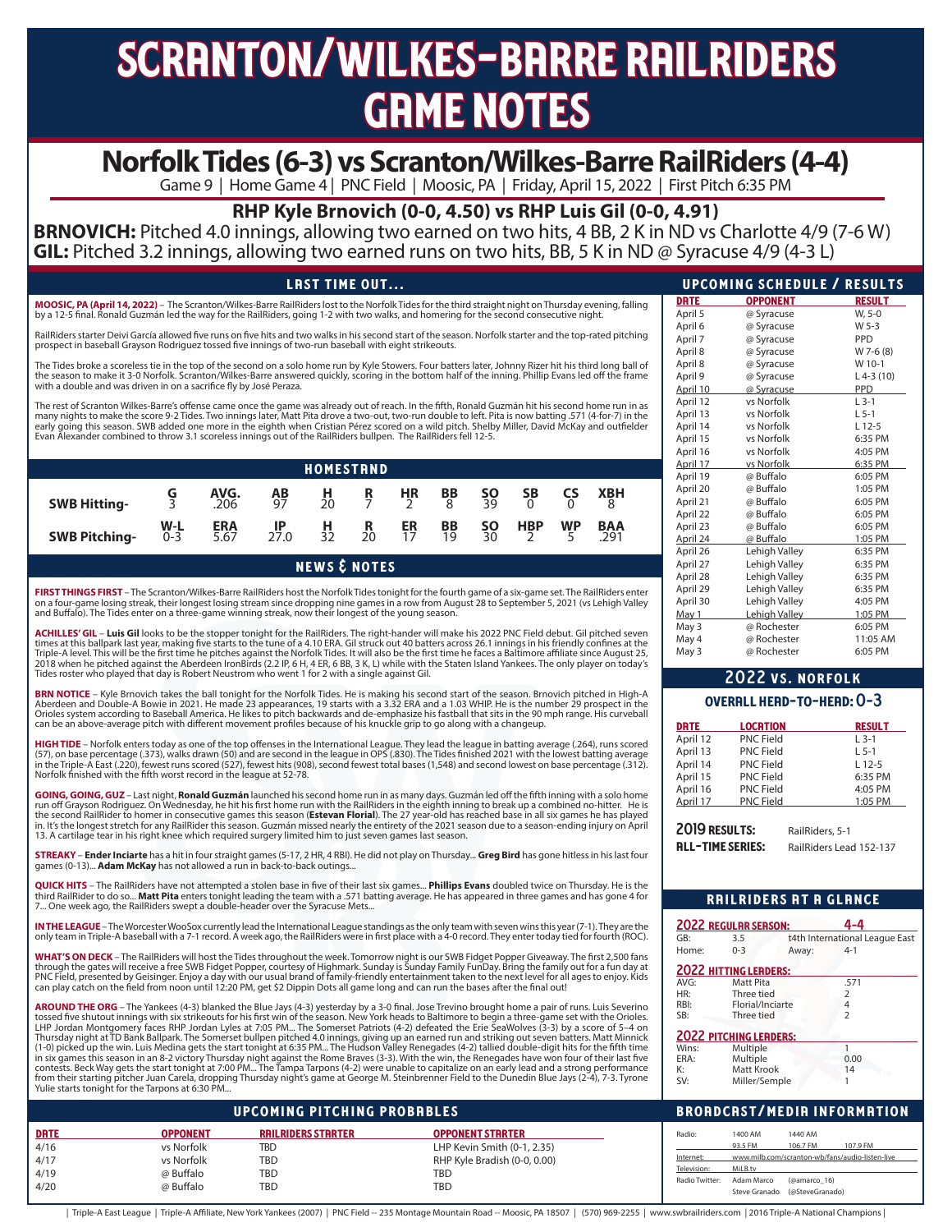# scranton/wilkes-barre railriders **GRME NOTES**

# **Norfolk Tides (6-3) vs Scranton/Wilkes-Barre RailRiders (4-4)**

Game 9 | Home Game 4 | PNC Field | Moosic, PA | Friday, April 15, 2022 | First Pitch 6:35 PM

# **RHP Kyle Brnovich (0-0, 4.50) vs RHP Luis Gil (0-0, 4.91)**

**BRNOVICH:** Pitched 4.0 innings, allowing two earned on two hits, 4 BB, 2 K in ND vs Charlotte 4/9 (7-6 W) **GIL:** Pitched 3.2 innings, allowing two earned runs on two hits, BB, 5 K in ND @ Syracuse 4/9 (4-3 L)

# LRST TIME OUT...

**MOOSIC, PA (April 14, 2022)** – The Scranton/Wilkes-Barre RailRiders lost to the Norfolk Tides for the third straight night on Thursday evening, falling by a 12-5 final. Ronald Guzmán led the way for the RailRiders, going 1-2 with two walks, and homering for the second consecutive night.

RailRiders starter Deivi García allowed five runs on five hits and two walks in his second start of the season. Norfolk starter and the top-rated pitching prospect in baseball Grayson Rodriguez tossed five innings of two-run baseball with eight strikeouts.

The Tides broke a scoreless tie in the top of the second on a solo home run by Kyle Stowers. Four batters later, Johnny Rizer hit his third long ball of the season to make it 3-0 Norfolk. Scranton/Wilkes-Barre answered quickly, scoring in the bottom half of the inning. Phillip Evans led off the frame with a double and was driven in on a sacrifice fly by José Peraza.

The rest of Scranton Wilkes-Barre's offense came once the game was already out of reach. In the fifth, Ronald Guzmán hit his second home run in as many nights to make the score 9-2 Tides. Two innings later, Matt Pita drove a two-out, two-run double to left. Pita is now batting .571 (4-for-7) in the<br>early going this season. SWB added one more in the eighth when Cristi Evan Alexander combined to throw 3.1 scoreless innings out of the RailRiders bullpen. The RailRiders fell 12-5.

|                      |                  |                    |                 | <b>HOMESTRND</b> |         |          |              |                 |                |           |                    |  |
|----------------------|------------------|--------------------|-----------------|------------------|---------|----------|--------------|-----------------|----------------|-----------|--------------------|--|
| <b>SWB Hitting-</b>  | G                | AVG.<br>.206       | <b>AB</b><br>97 | $\frac{H}{20}$   | R       | HR       | $rac{BB}{8}$ | $\frac{50}{39}$ | $\frac{SB}{0}$ | င္နွ      | <b>XBH</b>         |  |
| <b>SWB Pitching-</b> | $W-L$<br>$0 - 3$ | <b>ERA</b><br>5.67 | $_{27.0}$       | $\frac{H}{32}$   | R<br>20 | ER<br>17 | BB<br>īğ     | <b>SO</b><br>3Ō | <b>HBP</b>     | <b>WP</b> | <b>BAA</b><br>.291 |  |

news & notes

**FIRST THINGS FIRST** – The Scranton/Wilkes-Barre RailRiders host the Norfolk Tides tonight for the fourth game of a six-game set. The RailRiders enter on a four-game losing streak, their longest losing stream since dropping nine games in a row from August 28 to September 5, 2021 (vs Lehigh Valley<br>and Buffalo). The Tides enter on a three-game winning streak, now their lon

**ACHILLES′ GIL – Luis Gil** looks to be the stopper tonight for the RailRiders. The right-hander will make his 2022 PNC Field debut. Gil pitched seven<br>times at this ballpark last year, making five starts to the tune of a 4. 2018 when he pitched against the Aberdeen IronBirds (2.2 IP, 6 H, 4 ER, 6 BB, 3 K, L) while with the Staten Island Yankees. The only player on today's<br>Tides roster who played that day is Robert Neustrom who went 1 for 2 wi

**BRN NOTICE** – Kyle Brnovich takes the ball tonight for the Norfolk Tides. He is making his second start of the season. Brnovich pitched in High-A<br>Aberdeen and Double-A Bowie in 2021. He made 23 appearances, 19 starts with Orioles system according to Baseball America. He likes to pitch backwards and de-emphasize his fastball that sits in the 90 mph range. His curveball can be an above-average pitch with different movement profiles because of his knuckle grip to go along with a changeup.

**HIGH TIDE** – Norfolk enters today as one of the top offenses in the International League. They lead the league in batting average (.264), runs scored (57), on base percentage (.373), walks drawn (50) and are second in the league in OPS (.830). The Tides finished 2021 with the lowest batting average<br>in the Triple-A East (.220), fewest runs scored (527), fewest hits (908) Norfolk finished with the fifth worst record in the league at 52-78.

**GOING, GOING, GUZ** – Last night, **Ronald Guzmán** launched his second home run in as many days. Guzmán led off the fifth inning with a solo home run off Grayson Rodriguez. On Wednesday, he hit his first home run with the RailRiders in the eighth inning to break up a combined no-hitter. He is the second RailRider to homer in consecutive games this season (**Estevan Florial**). The 27 year-old has reached base in all six games he has played<br>in. It's the longest stretch for any RailRider this season. Guzmán missed 13. A cartilage tear in his right knee which required surgery limited him to just seven games last season.

**STREAKY** – **Ender Inciarte** has a hit in four straight games (5-17, 2 HR, 4 RBI). He did not play on Thursday... **Greg Bird** has gone hitless in his last four games (0-13)... **Adam McKay** has not allowed a run in back-to-back outings...

**QUICK HITS** – The RailRiders have not attempted a stolen base in five of their last six games... **Phillips Evans** doubled twice on Thursday. He is the third RailRider to do so... **Matt Pita** enters tonight leading the team with a .571 batting average. He has appeared in three games and has gone 4 for 7... One week ago, the RailRiders swept a double-header over the Syracuse Mets.

|                      |                                                 |                                    | IN THE LEAGUE - The Worcester WooSox currently lead the International League standings as the only team with seven wins this year (7-1). They are the                                                                                                                                                       |                | <b>2022 REGULAR SERSON:</b>                     | 4-4                            |
|----------------------|-------------------------------------------------|------------------------------------|-------------------------------------------------------------------------------------------------------------------------------------------------------------------------------------------------------------------------------------------------------------------------------------------------------------|----------------|-------------------------------------------------|--------------------------------|
|                      |                                                 |                                    | only team in Triple-A baseball with a 7-1 record. A week ago, the RailRiders were in first place with a 4-0 record. They enter today tied for fourth (ROC).                                                                                                                                                 | GB:            | 3.5                                             | t4th International League East |
|                      |                                                 |                                    | WHAT'S ON DECK – The RailRiders will host the Tides throughout the week. Tomorrow night is our SWB Fidget Popper Giveaway. The first 2,500 fans                                                                                                                                                             | Home:          | $0 - 3$<br>Away:                                | $4-1$                          |
|                      |                                                 |                                    | through the gates will receive a free SWB Fidget Popper, courtesy of Highmark. Sunday is Sunday Family FunDay. Bring the family out for a fun day at                                                                                                                                                        |                | <b>2022 HITTING LERDERS:</b>                    |                                |
|                      |                                                 |                                    | PNC Field, presented by Geisinger. Enjoy a day with our usual brand of family-friendly entertainment taken to the next level for all ages to enjoy. Kids<br>can play catch on the field from noon until 12:20 PM, get \$2 Dippin Dots all game long and can run the bases after the final out!              | AVG:           | Matt Pita                                       | .571                           |
|                      |                                                 |                                    |                                                                                                                                                                                                                                                                                                             | HR:            | Three tied                                      |                                |
|                      |                                                 |                                    | AROUND THE ORG - The Yankees (4-3) blanked the Blue Jays (4-3) yesterday by a 3-0 final. Jose Trevino brought home a pair of runs. Luis Severino                                                                                                                                                            | RBI:           | Florial/Inciarte                                |                                |
|                      |                                                 |                                    | tossed five shutout innings with six strikeouts for his first win of the season. New York heads to Baltimore to begin a three-game set with the Orioles.                                                                                                                                                    | SB:            | Three tied                                      |                                |
|                      |                                                 |                                    | LHP Jordan Montgomery faces RHP Jordan Lyles at 7:05 PM… The Somerset Patriots (4-2) defeated the Erie ŠeaWolves (3-3) by a score of 5–4 on                                                                                                                                                                 |                | <b>2022 PITCHING LEADERS:</b>                   |                                |
|                      |                                                 |                                    |                                                                                                                                                                                                                                                                                                             |                |                                                 |                                |
|                      |                                                 |                                    | Thursday night at TD Bank Ballpark. The Somerset bullpen pitched 4.0 innings, giving up an earned run and striking out seven batters. Matt Minnick<br>(1-0) picked up the win. Luis Medina gets the start tonight at 6:35 PM The Hudson Valley Renegades (4-2) tallied double-digit hits for the fifth time | Wins:          | Multiple                                        |                                |
|                      |                                                 |                                    | in six games this season in an 8-2 victory Thursday night against the Rome Braves (3-3). With the win, the Renegades have won four of their last five                                                                                                                                                       | ERA:           | Multiple                                        | 0.00                           |
|                      |                                                 |                                    | contests. Beck Way gets the start tonight at 7:00 PM The Tampa Tarpons (4-2) were unable to capitalize on an early lead and a strong performance                                                                                                                                                            | K:             | Matt Krook                                      | 14                             |
|                      |                                                 |                                    | from their starting pitcher Juan Carela, dropping Thursday night's game at George M. Steinbrenner Field to the Dunedin Blue Jays (2-4), 7-3. Tyrone                                                                                                                                                         | SV:            | Miller/Semple                                   |                                |
|                      | Yulie starts tonight for the Tarpons at 6:30 PM |                                    |                                                                                                                                                                                                                                                                                                             |                |                                                 |                                |
|                      |                                                 | <b>UPCOMING PITCHING PROBRBLES</b> |                                                                                                                                                                                                                                                                                                             |                | <b>BROADCAST/MEDIA INFORMATION</b>              |                                |
|                      | <b>OPPONENT</b>                                 | <b>RAILRIDERS STARTER</b>          | <b>OPPONENT STRRTER</b>                                                                                                                                                                                                                                                                                     | Radio:         | 1400 AM<br>1440 AM                              |                                |
|                      | vs Norfolk                                      | <b>TBD</b>                         |                                                                                                                                                                                                                                                                                                             |                | 93.5 FM<br>106.7 FM                             | 107.9 FM                       |
|                      |                                                 |                                    | LHP Kevin Smith (0-1, 2.35)                                                                                                                                                                                                                                                                                 | Internet:      | www.milb.com/scranton-wb/fans/audio-listen-live |                                |
| DRTE<br>4/16<br>4/17 | vs Norfolk                                      | TBD                                | RHP Kyle Bradish (0-0, 0.00)                                                                                                                                                                                                                                                                                | Television:    | MiLB.tv                                         |                                |
| 4/19<br>4/20         | @ Buffalo<br>@ Buffalo                          | TBD<br>TBD                         | <b>TBD</b><br><b>TBD</b>                                                                                                                                                                                                                                                                                    | Radio Twitter: | Adam Marco<br>(@amarco 16)                      |                                |

| Triple-A East League   Triple-A Affiliate, New York Yankees (2007)   PNC Field -- 235 Montage Mountain Road -- Moosic, PA 18507   (570) 969-2255   www.swbrailriders.com   2016 Triple-A National Champions |  |  |  |
|-------------------------------------------------------------------------------------------------------------------------------------------------------------------------------------------------------------|--|--|--|
|-------------------------------------------------------------------------------------------------------------------------------------------------------------------------------------------------------------|--|--|--|

|             | UPCOMING SCHEDULE / RESULTS |               |
|-------------|-----------------------------|---------------|
| <b>DRTE</b> | <b>OPPONENT</b>             | <b>RESULT</b> |
| April 5     | @ Syracuse                  | W, 5-0        |
| April 6     | @ Syracuse                  | W 5-3         |
| April 7     | @ Syracuse                  | PPD           |
| April 8     | @ Syracuse                  | W 7-6 (8)     |
| April 8     | @ Syracuse                  | W 10-1        |
| April 9     | @ Syracuse                  | $L$ 4-3 (10)  |
| April 10    | @ Syracuse                  | <b>PPD</b>    |
| April 12    | vs Norfolk                  | $L$ 3-1       |
| April 13    | ys Norfolk                  | $L$ 5-1       |
| April 14    | vs Norfolk                  | $L$ 12-5      |
| April 15    | vs Norfolk                  | 6:35 PM       |
| April 16    | vs Norfolk                  | 4:05 PM       |
| April 17    | vs Norfolk                  | 6:35 PM       |
| April 19    | @ Buffalo                   | 6:05 PM       |
| April 20    | @ Buffalo                   | 1:05 PM       |
| April 21    | @ Buffalo                   | 6:05 PM       |
| April 22    | @ Buffalo                   | 6:05 PM       |
| April 23    | @ Buffalo                   | 6:05 PM       |
| April 24    | @ Buffalo                   | 1:05 PM       |
| April 26    | Lehigh Valley               | 6:35 PM       |
| April 27    | Lehigh Valley               | 6:35 PM       |
| April 28    | Lehigh Valley               | 6:35 PM       |
| April 29    | Lehigh Valley               | 6:35 PM       |
| April 30    | Lehigh Valley               | 4:05 PM       |
| May 1       | Lehigh Valley               | 1:05 PM       |
| May 3       | @ Rochester                 | 6:05 PM       |
| May 4       | @ Rochester                 | 11:05 AM      |
| May 3       | @ Rochester                 | 6:05 PM       |
|             |                             |               |

# 2022 vs. norfolk

# overall head-to-head: 0-3

| <b>DRTE</b> | <b>LOCRTION</b>  | <b>RESULT</b> |
|-------------|------------------|---------------|
| April 12    | <b>PNC Field</b> | $L$ 3-1       |
| April 13    | <b>PNC Field</b> | $L$ 5-1       |
| April 14    | <b>PNC Field</b> | $L$ 12-5      |
| April 15    | <b>PNC Field</b> | 6:35 PM       |
| April 16    | <b>PNC Field</b> | 4:05 PM       |
| April 17    | <b>PNC Field</b> | 1:05 PM       |

2019 RESULTS: RailRiders, 5-1 RLL-TIME SERIES: RailRiders Lead 152-137

railriders at a glance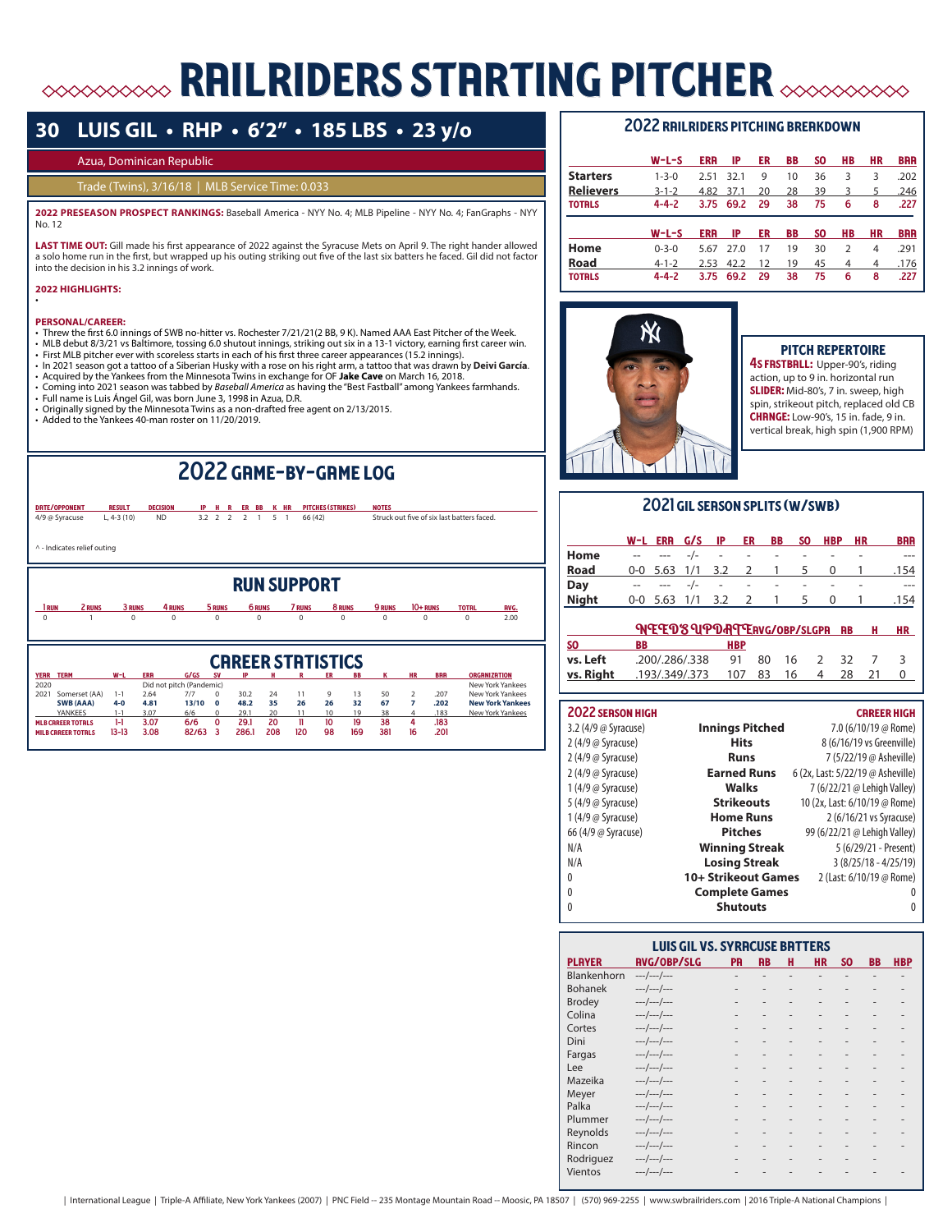# railriders starting pitcher

# **30 LUIS GIL • RHP • 6'2" • 185 LBS • 23 y/o**

### Azua, Dominican Republic

## Trade (Twins), 3/16/18 | MLB Service Time: 0.033

**2022 PRESEASON PROSPECT RANKINGS:** Baseball America - NYY No. 4; MLB Pipeline - NYY No. 4; FanGraphs - NYY No. 12

**LAST TIME OUT:** Gill made his first appearance of 2022 against the Syracuse Mets on April 9. The right hander allowed a solo home run in the first, but wrapped up his outing striking out five of the last six batters he faced. Gil did not factor into the decision in his 3.2 innings of work.

#### **2022 HIGHLIGHTS:**  •

#### **PERSONAL/CAREER:**

- Threw the first 6.0 innings of SWB no-hitter vs. Rochester 7/21/21(2 BB, 9 K). Named AAA East Pitcher of the Week.
- MLB debut 8/3/21 vs Baltimore, tossing 6.0 shutout innings, striking out six in a 13-1 victory, earning first career win.
- 
- ∙ First MLB pitcher ever with scoreless starts in each of his first three career appearances (15.2 innings).<br>∙ In 2021 season got a tattoo of a Siberian Husky with a rose on his right arm, a tattoo that was drawn by **Deiv**
- 
- Acquired by the Yankees from the Minnesota Twins in exchange for OF **Jake Cave** on March 16, 2018. Coming into 2021 season was tabbed by *Baseball America* as having the "Best Fastball" among Yankees farmhands.
- Full name is Luis Ángel Gil, was born June 3, 1998 in Azua, D.R.
- Originally signed by the Minnesota Twins as a non-drafted free agent on 2/13/2015. Added to the Yankees 40-man roster on 11/20/2019.
- 

# 2022 game-by-game log

|                   | DRTE/OPPONENT               | <b>RESULT</b> | <b>DECISION</b>                        | IP    | н           | R                                | ER BB         | K HR |                | <b>PITCHES (STRIKES)</b> |          | <b>NOTES</b>  |                |            |                                            |                                         |
|-------------------|-----------------------------|---------------|----------------------------------------|-------|-------------|----------------------------------|---------------|------|----------------|--------------------------|----------|---------------|----------------|------------|--------------------------------------------|-----------------------------------------|
|                   | 4/9 @ Syracuse              | $L, 4-3(10)$  | <b>ND</b>                              | 3.2   | 2           | $\overline{2}$<br>$\overline{2}$ | 1             | 5    | $\overline{1}$ | 66 (42)                  |          |               |                |            | Struck out five of six last batters faced. |                                         |
|                   | ^ - Indicates relief outing |               |                                        |       |             |                                  |               |      |                |                          |          |               |                |            |                                            |                                         |
|                   |                             |               |                                        |       |             |                                  |               |      |                | <b>RUN SUPPORT</b>       |          |               |                |            |                                            |                                         |
| 1 <sub>RUN</sub>  | 2 RUNS                      | 3 RUNS        | 4 RUNS                                 |       | 5 RUNS      |                                  | <b>6 RUNS</b> |      | <b>7 RUNS</b>  |                          | 8 RUNS   | <b>9 RUNS</b> |                | 10+ RUNS   | <b>TOTAL</b>                               | <b>RVG.</b>                             |
| $\Omega$          |                             | $\Omega$      | $\Omega$                               |       | $\Omega$    |                                  | $\Omega$      |      | $\Omega$       |                          | $\Omega$ | $\Omega$      |                | 0          | $\Omega$                                   | 2.00                                    |
|                   |                             |               |                                        |       |             |                                  |               |      |                | <b>CRREER STRTISTICS</b> |          |               |                |            |                                            |                                         |
| YERR TERM<br>2020 |                             | $W-L$         | <b>ERR</b><br>Did not pitch (Pandemic) | G/GS  | <b>SV</b>   |                                  |               |      |                |                          |          |               | <b>HR</b>      | <b>BRR</b> |                                            | <b>ORGANIZATION</b><br>New York Yankees |
| 2021              | Somerset (AA)               | $1 - 1$       | 2.64                                   | 7/7   | $\Omega$    | 30.2                             |               | 24   | 11             | 9                        | 13       | 50            | $\overline{2}$ | .207       |                                            | New York Yankees                        |
|                   | <b>SWB (AAA)</b>            | $4 - 0$       | 4.81                                   | 13/10 | $\Omega$    | 48.2                             |               | 35   | 26             | 26                       | 32       | 67            | $\overline{7}$ | .202       |                                            | <b>New York Yankees</b>                 |
|                   | YANKEES                     | $1 - 1$       | 3.07                                   | 6/6   | $\Omega$    | 29.1                             |               | 20   | 11             | 10                       | 19       | 38            | 4              | .183       |                                            | New York Yankees                        |
|                   | <b>MLB CRREER TOTALS</b>    | $1-1$         | 3.07                                   | 6/6   | $\mathbf 0$ | 29.1                             |               | 20   | Ħ              | 10                       | 19       | 38            | 4              | .183       |                                            |                                         |
|                   | <b>MILR CRREER TOTALS</b>   | $13-13$       | 3.08                                   | 82/63 | 3           | 2861                             |               | 208  | 120            | 98                       | 169      | 381           | 16             | 201        |                                            |                                         |

## 2022 railriders pitching breakdown

|                  | $W-L-S$     | <b>ERR</b> | IP   | ER | BB | SO. | HВ            | HR | <b>BRR</b> |
|------------------|-------------|------------|------|----|----|-----|---------------|----|------------|
| <b>Starters</b>  | $1 - 3 - 0$ | 2.51       | 32.1 | 9  | 10 | 36  | 3             | 3  | .202       |
| <b>Relievers</b> | $3 - 1 - 2$ | 4.82       | 37.1 | 20 | 28 | 39  | 3             | 5  | .246       |
| <b>TOTRLS</b>    | $4 - 4 - 2$ | 3.75       | 69.2 | 29 | 38 | 75  | 6             | 8  | .227       |
|                  |             |            |      |    |    |     |               |    |            |
|                  |             |            |      |    |    |     |               |    |            |
|                  | $W-L-S$     | ERR        | IP   | ER | BB | SO. | HВ            | HR | <b>BRR</b> |
| Home             | $0 - 3 - 0$ | 5.67       | 27.0 | 17 | 19 | 30  | $\mathcal{P}$ | 4  | .291       |
| Road             | $4 - 1 - 2$ | 2.53       | 42.2 | 12 | 19 | 45  | 4             | 4  | .176       |



# pitch repertoire

4S FRSTBRLL: Upper-90's, riding action, up to 9 in. horizontal run SLIDER: Mid-80's, 7 in. sweep, high spin, strikeout pitch, replaced old CB **CHRNGE:** Low-90's, 15 in. fade, 9 in. vertical break, high spin (1,900 RPM)

# 2021 gil season splits (w/swb)

|              | W-L ERR G/S IP         |       |                    | ER.            | <b>BB</b>        | SO.    | <b>HBP</b> | HR | <b>BRR</b> |
|--------------|------------------------|-------|--------------------|----------------|------------------|--------|------------|----|------------|
| Home         | $---$                  |       | $\sim 100$         | $\sim 100$     | $\sim$ $-$       | $\sim$ |            |    | ---        |
| <b>Road</b>  | 0-0 5.63 1/1 3.2 2 1 5 |       |                    |                |                  |        | $\Omega$   |    | .154       |
| Day          |                        | $-/-$ | <b>All Control</b> | <b>Service</b> | $\sim$ 100 $\mu$ |        |            |    |            |
| <b>Night</b> | $0-0$ 5.63 1/1 3.2     |       |                    | $\overline{2}$ | 1                | 5      | 0          |    | .154       |
|              |                        |       |                    |                |                  |        |            |    |            |

|                   | <b>NEEDSUPDATERVG/OBP/SLGPR RB</b> |                 |      |       | - н | HR |
|-------------------|------------------------------------|-----------------|------|-------|-----|----|
| $\overline{ }$ so | вв                                 | <b>HBP</b>      |      |       |     |    |
| vs. Left          | .200/.286/.338                     | 91 80 16 2 32 7 |      |       |     |    |
| vs. Right         | .193/.349/.373                     | 107 83          | - 16 | 28 21 |     |    |

# 2022 season high career high career high career high career high career  $\sim$

| 3.2 (4/9 @ Syracuse) | <b>Innings Pitched</b> | 7.0 (6/10/19 @ Rome)              |
|----------------------|------------------------|-----------------------------------|
| 2 (4/9 @ Syracuse)   | <b>Hits</b>            | 8 (6/16/19 vs Greenville)         |
| 2 (4/9 @ Syracuse)   | Runs                   | 7 (5/22/19 @ Asheville)           |
| 2 (4/9 @ Syracuse)   | <b>Earned Runs</b>     | 6 (2x, Last: 5/22/19 @ Asheville) |
| 1 (4/9 @ Syracuse)   | Walks                  | 7 (6/22/21 @ Lehigh Valley)       |
| 5 (4/9 @ Syracuse)   | <b>Strikeouts</b>      | 10 (2x, Last: 6/10/19 @ Rome)     |
| 1 (4/9 @ Syracuse)   | <b>Home Runs</b>       | 2 (6/16/21 vs Syracuse)           |
| 66 (4/9 @ Syracuse)  | <b>Pitches</b>         | 99 (6/22/21 @ Lehigh Valley)      |
| N/A                  | <b>Winning Streak</b>  | 5 (6/29/21 - Present)             |
| N/A                  | <b>Losing Streak</b>   | $3(8/25/18 - 4/25/19)$            |
| 0                    | 10+ Strikeout Games    | 2 (Last: 6/10/19 @ Rome)          |
| 0                    | <b>Complete Games</b>  | 0                                 |
| 0                    | <b>Shutouts</b>        | 0                                 |
|                      |                        |                                   |

|                | <b>LUIS GIL VS. SYRRCUSE BRTTERS</b> |           |                          |                              |           |     |     |            |
|----------------|--------------------------------------|-----------|--------------------------|------------------------------|-----------|-----|-----|------------|
| <b>PLAYER</b>  | <b>RVG/OBP/SLG</b>                   | <b>PR</b> | <b>RB</b>                | н                            | <b>HR</b> | SO. | BB. | <b>HBP</b> |
| Blankenhorn    | $---/---/---$                        | ۰         |                          |                              | ٠         |     |     |            |
| <b>Bohanek</b> | $---/---/---$                        |           |                          |                              |           |     |     |            |
| <b>Brodey</b>  | $---/---/---$                        |           |                          |                              |           |     |     |            |
| Colina         | $---/---/---$                        |           |                          |                              |           |     |     |            |
| Cortes         | $---/---/---$                        |           |                          |                              |           |     |     |            |
| Dini           | $---/---/---$                        |           |                          |                              |           |     |     |            |
| Fargas         | $---/---/---$                        |           |                          |                              |           |     |     |            |
| Lee            | ---/---/---                          |           | $\overline{\phantom{a}}$ | $\qquad \qquad \blacksquare$ | ٠         |     |     |            |
| Mazeika        | $---/---/---$                        |           |                          | $\overline{a}$               | ۰         |     |     |            |
| Meyer          | $---/---/---$                        |           |                          |                              |           |     |     |            |
| Palka          | $---/---/---$                        |           |                          |                              |           |     |     |            |
| Plummer        | $---/---/---$                        |           |                          |                              |           |     |     |            |
| Reynolds       | $---/---/---$                        |           |                          | ٠                            |           |     |     |            |
| Rincon         | ---/---/---                          |           |                          |                              |           |     |     |            |
| Rodriguez      | $---/---/---$                        |           |                          | ٠                            | ۰         |     |     |            |
| Vientos        | $---/---/---$                        |           |                          |                              |           |     |     |            |
|                |                                      |           |                          |                              |           |     |     |            |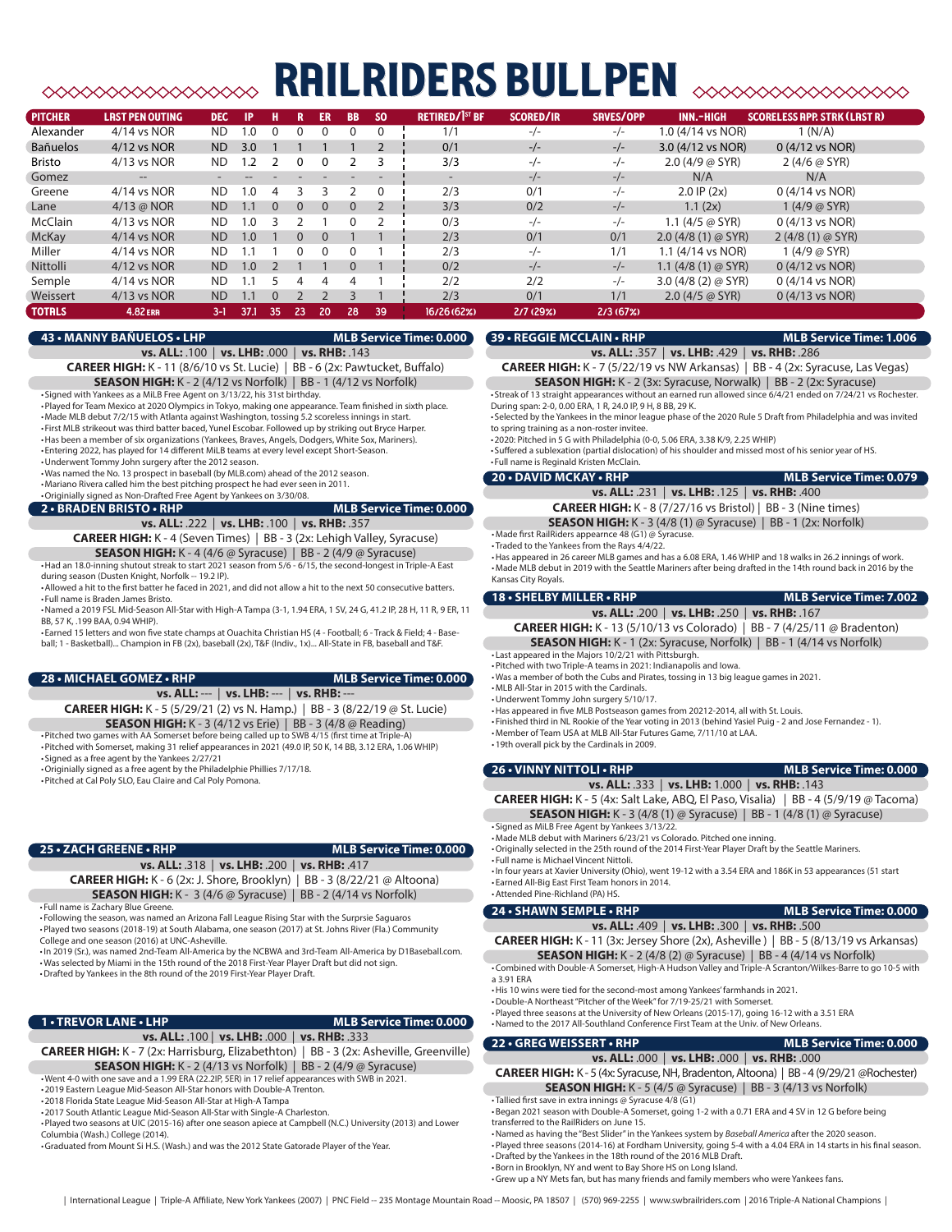# railriders bullpen

| <b>PITCHER</b>  | <b>LRST PEN OUTING</b> | <b>DEC</b> | IP         | н        |          | ER       | <b>BB</b> | <sub>SO</sub> | <b>RETIRED/1st BF</b> | <b>SCORED/IR</b> | SRVES/OPP | INN.-HIGH                    | <b>SCORELESS APP. STRK (LAST R)</b> |
|-----------------|------------------------|------------|------------|----------|----------|----------|-----------|---------------|-----------------------|------------------|-----------|------------------------------|-------------------------------------|
| Alexander       | $4/14$ vs NOR          | <b>ND</b>  | $\Omega$   | $\Omega$ |          | $\Omega$ | 0         | $\mathbf{0}$  | 1/1                   | $-1$             | $-/-$     | 1.0 (4/14 vs NOR)            | 1(N/A)                              |
| <b>Bañuelos</b> | 4/12 vs NOR            | <b>ND</b>  | 3.0        |          |          |          |           |               | 0/1                   | $-/-$            | $-/-$     | 3.0 (4/12 vs NOR)            | $0(4/12 \text{ vs } NOR)$           |
| <b>Bristo</b>   | 4/13 vs NOR            | <b>ND</b>  | $\cdot$ .2 |          | 0        | 0        |           |               | 3/3                   | $-/-$            | $-/-$     | $2.0$ (4/9 @ SYR)            | 2 $(4/6 @ SYR)$                     |
| Gomez           | $\qquad \qquad -$      |            |            |          |          |          |           |               | -                     | $-/-$            | $-/-$     | N/A                          | N/A                                 |
| Greene          | 4/14 vs NOR            | <b>ND</b>  | $\cdot$ 0. | 4        |          |          |           | $\mathbf{0}$  | 2/3                   | 0/1              | $-/-$     | $2.0$ IP $(2x)$              | $0(4/14 \text{ vs } NOR)$           |
| Lane            | $4/13$ @ NOR           | <b>ND</b>  | $\cdot$ 1  | $\Omega$ | $\Omega$ | $\Omega$ | $\Omega$  |               | 3/3                   | 0/2              | $-/-$     | 1.1(2x)                      | 1(4/9 @ SYR)                        |
| McClain         | 4/13 vs NOR            | <b>ND</b>  | .0         |          |          |          | 0         |               | 0/3                   | $-/-$            | $-/-$     | 1.1 $(4/5 \oslash SYR)$      | 0 (4/13 vs NOR)                     |
| <b>McKay</b>    | 4/14 vs NOR            | <b>ND</b>  | 1.0        |          | $\Omega$ | $\Omega$ |           |               | 2/3                   | 0/1              | 0/1       | $2.0$ (4/8 (1) $\omega$ SYR) | $2(4/8(1) \oslash SYR)$             |
| Miller          | 4/14 vs NOR            | <b>ND</b>  | $\cdot$ 1  |          |          | $\Omega$ | 0         |               | 2/3                   | $-/-$            | 1/1       | 1.1 (4/14 vs NOR)            | 1 $(4/9@$ SYR)                      |
| Nittolli        | 4/12 vs NOR            | <b>ND</b>  | 1.0        |          |          |          | $\Omega$  |               | 0/2                   | $-/-$            | $-/-$     | 1.1 $(4/8(1) \oslash SYR)$   | 0 (4/12 vs NOR)                     |
| Semple          | $4/14$ vs NOR          | <b>ND</b>  | $\cdot$ 1  |          |          | 4        | 4         |               | 2/2                   | 2/2              | $-/-$     | 3.0 $(4/8(2)$ @ SYR)         | $0(4/14 \text{ vs } NOR)$           |
| Weissert        | 4/13 vs NOR            | <b>ND</b>  | $\cdot$ 1  | $\Omega$ |          |          |           |               | 2/3                   | 0/1              | 1/1       | $2.0$ (4/5 @ SYR)            | $0(4/13 \text{ vs } NOR)$           |
| <b>TOTRLS</b>   | <b>4.82 ERR</b>        | $3-1$      | 37.1       | -35      | 23       | 20       | 28        | 39            | 16/26 (62%)           | 2/7(29%)         | 2/3(67%)  |                              |                                     |

#### **43 • MANNY BAÑUELOS • LHP MLB Service Time: 0.000**

# **39 • REGGIE MCCLAIN • RHP MLB Service Time: 1.006**

**vs. ALL:** .357 | **vs. LHB:** .429 | **vs. RHB:** .286

**CAREER HIGH:** K - 7 (5/22/19 vs NW Arkansas) | BB - 4 (2x: Syracuse, Las Vegas) **SEASON HIGH:** K - 2 (3x: Syracuse, Norwalk) | BB - 2 (2x: Syracuse)

• Streak of 13 straight appearances without an earned run allowed since 6/4/21 ended on 7/24/21 vs Rochester. During span: 2-0, 0.00 ERA, 1 R, 24.0 IP, 9 H, 8 BB, 29 K.

• Selected by the Yankees in the minor league phase of the 2020 Rule 5 Draft from Philadelphia and was invited to spring training as a non-roster invitee.

**vs. ALL:** .231 | **vs. LHB:** .125 | **vs. RHB:** .400

•2020: Pitched in 5 G with Philadelphia (0-0, 5.06 ERA, 3.38 K/9, 2.25 WHIP)

• Suffered a sublexation (partial dislocation) of his shoulder and missed most of his senior year of HS. • Full name is Reginald Kristen McClain.

### •Underwent Tommy John surgery after the 2012 season. •Was named the No. 13 prospect in baseball (by MLB.com) ahead of the 2012 season. **20 • DAVID MCKAY • RHP MLB Service Time: 0.079**

•Mariano Rivera called him the best pitching prospect he had ever seen in 2011. •Originially signed as Non-Drafted Free Agent by Yankees on 3/30/08.

• Signed with Yankees as a MiLB Free Agent on 3/13/22, his 31st birthday.

**2 • BRADEN BRISTO • RHP MLB Service Time: 0.000** 

# **vs. ALL:** .222 | **vs. LHB:** .100 | **vs. RHB:** .357

**CAREER HIGH:** K - 4 (Seven Times) | BB - 3 (2x: Lehigh Valley, Syracuse)

**SEASON HIGH:** K - 4 (4/6 @ Syracuse) | BB - 2 (4/9 @ Syracuse) •Had an 18.0-inning shutout streak to start 2021 season from 5/6 - 6/15, the second-longest in Triple-A East during season (Dusten Knight, Norfolk -- 19.2 IP).

**vs. ALL:** .100 | **vs. LHB:** .000 | **vs. RHB:** .143 **CAREER HIGH:** K - 11 (8/6/10 vs St. Lucie) | BB - 6 (2x: Pawtucket, Buffalo) **SEASON HIGH:** K - 2 (4/12 vs Norfolk) | BB - 1 (4/12 vs Norfolk)

•Played for Team Mexico at 2020 Olympics in Tokyo, making one appearance. Team finished in sixth place. •Made MLB debut 7/2/15 with Atlanta against Washington, tossing 5.2 scoreless innings in start. • First MLB strikeout was third batter baced, Yunel Escobar. Followed up by striking out Bryce Harper. •Has been a member of six organizations (Yankees, Braves, Angels, Dodgers, White Sox, Mariners). • Entering 2022, has played for 14 different MiLB teams at every level except Short-Season.

•Allowed a hit to the first batter he faced in 2021, and did not allow a hit to the next 50 consecutive batters. • Full name is Braden James Bristo.

•Named a 2019 FSL Mid-Season All-Star with High-A Tampa (3-1, 1.94 ERA, 1 SV, 24 G, 41.2 IP, 28 H, 11 R, 9 ER, 11 BB, 57 K, .199 BAA, 0.94 WHIP).

• Earned 15 letters and won five state champs at Ouachita Christian HS (4 - Football; 6 - Track & Field; 4 - Baseball; 1 - Basketball)... Champion in FB (2x), baseball (2x), T&F (Indiv., 1x)... All-State in FB, baseball and T&F.

### **28 • MICHAEL GOMEZ • RHP MLB Service Time: 0.000**

**vs. ALL:** --- | **vs. LHB:** --- | **vs. RHB:** ---

**CAREER HIGH:** K - 5 (5/29/21 (2) vs N. Hamp.) | BB - 3 (8/22/19 @ St. Lucie)

**SEASON HIGH:** K - 3 (4/12 vs Erie) | BB - 3 (4/8 @ Reading)

•Pitched two games with AA Somerset before being called up to SWB 4/15 (first time at Triple-A) •Pitched with Somerset, making 31 relief appearances in 2021 (49.0 IP, 50 K, 14 BB, 3.12 ERA, 1.06 WHIP)

• Signed as a free agent by the Yankees 2/27/21 •Originially signed as a free agent by the Philadelphie Phillies 7/17/18.

# •Pitched at Cal Poly SLO, Eau Claire and Cal Poly Pomona.

### **25 • ZACH GREENE • RHP MLB Service Time: 0.000**

**vs. ALL:** .318 | **vs. LHB:** .200 | **vs. RHB:** .417 **CAREER HIGH:** K - 6 (2x: J. Shore, Brooklyn) | BB - 3 (8/22/21 @ Altoona) **SEASON HIGH:** K - 3 (4/6 @ Syracuse) | BB - 2 (4/14 vs Norfolk)

• Full name is Zachary Blue Greene.

• Following the season, was named an Arizona Fall League Rising Star with the Surprsie Saguaros •Played two seasons (2018-19) at South Alabama, one season (2017) at St. Johns River (Fla.) Community College and one season (2016) at UNC-Asheville.

•In 2019 (Sr.), was named 2nd-Team All-America by the NCBWA and 3rd-Team All-America by D1Baseball.com. •Was selected by Miami in the 15th round of the 2018 First-Year Player Draft but did not sign. •Drafted by Yankees in the 8th round of the 2019 First-Year Player Draft.

## **1 • TREVOR LANE • LHP MLB Service Time: 0.000**

### **vs. ALL:** .100 | **vs. LHB:** .000 | **vs. RHB:** .333

**CAREER HIGH:** K - 7 (2x: Harrisburg, Elizabethton) | BB - 3 (2x: Asheville, Greenville) **SEASON HIGH:** K - 2 (4/13 vs Norfolk) | BB - 2 (4/9 @ Syracuse)

•Went 4-0 with one save and a 1.99 ERA (22.2IP, 5ER) in 17 relief appearances with SWB in 2021.

•2019 Eastern League Mid-Season All-Star honors with Double-A Trenton.

•2018 Florida State League Mid-Season All-Star at High-A Tampa

•2017 South Atlantic League Mid-Season All-Star with Single-A Charleston. •Played two seasons at UIC (2015-16) after one season apiece at Campbell (N.C.) University (2013) and Lower Columbia (Wash.) College (2014).

•Graduated from Mount Si H.S. (Wash.) and was the 2012 State Gatorade Player of the Year.

#### **CAREER HIGH:** K - 8 (7/27/16 vs Bristol) | BB - 3 (Nine times) **SEASON HIGH:** K - 3 (4/8 (1) @ Syracuse) | BB - 1 (2x: Norfolk) •Made first RailRiders appearnce 48 (G1) @ Syracuse.

• Traded to the Yankees from the Rays 4/4/22.

•Has appeared in 26 career MLB games and has a 6.08 ERA, 1.46 WHIP and 18 walks in 26.2 innings of work. •Made MLB debut in 2019 with the Seattle Mariners after being drafted in the 14th round back in 2016 by the Kansas City Royals.

| <b>18 • SHELBY MILLER • RHP</b>                                                 | <b>MLB Service Time: 7.002</b> |
|---------------------------------------------------------------------------------|--------------------------------|
| vs. ALL: .200   vs. LHB: .250   vs. RHB: .167                                   |                                |
| <b>CAREER HIGH:</b> K - 13 (5/10/13 vs Colorado)   BB - 7 (4/25/11 @ Bradenton) |                                |
| <b>SEASON HIGH:</b> K - 1 (2x: Syracuse, Norfolk)   BB - 1 (4/14 vs Norfolk)    |                                |

• Last appeared in the Majors 10/2/21 with Pittsburgh. •Pitched with two Triple-A teams in 2021: Indianapolis and Iowa.

•Was a member of both the Cubs and Pirates, tossing in 13 big league games in 2021.

•MLB All-Star in 2015 with the Cardinals.

•Underwent Tommy John surgery 5/10/17.

•Has appeared in five MLB Postseason games from 20212-2014, all with St. Louis.

• Finished third in NL Rookie of the Year voting in 2013 (behind Yasiel Puig - 2 and Jose Fernandez - 1).

•Member of Team USA at MLB All-Star Futures Game, 7/11/10 at LAA.

•19th overall pick by the Cardinals in 2009.

## **26 • VINNY NITTOLI • RHP MLB Service Time: 0.000 vs. ALL:** .333 | **vs. LHB:** 1.000 | **vs. RHB:** .143

**CAREER HIGH:** K - 5 (4x: Salt Lake, ABQ, El Paso, Visalia) | BB - 4 (5/9/19 @ Tacoma) **SEASON HIGH:** K - 3 (4/8 (1) @ Syracuse) | BB - 1 (4/8 (1) @ Syracuse)

• Signed as MiLB Free Agent by Yankees 3/13/22. •Made MLB debut with Mariners 6/23/21 vs Colorado. Pitched one inning.

•Originally selected in the 25th round of the 2014 First-Year Player Draft by the Seattle Mariners. • Full name is Michael Vincent Nittoli.

•In four years at Xavier University (Ohio), went 19-12 with a 3.54 ERA and 186K in 53 appearances (51 start • Earned All-Big East First Team honors in 2014. •Attended Pine-Richland (PA) HS.

# **24 • SHAWN SEMPLE • RHP MLB Service Time: 0.000**

**vs. ALL:** .409 | **vs. LHB:** .300 | **vs. RHB:** .500 **CAREER HIGH:** K - 11 (3x: Jersey Shore (2x), Asheville ) | BB - 5 (8/13/19 vs Arkansas)

**SEASON HIGH:** K - 2 (4/8 (2) @ Syracuse) | BB - 4 (4/14 vs Norfolk)

•Combined with Double-A Somerset, High-A Hudson Valley and Triple-A Scranton/Wilkes-Barre to go 10-5 with a 3.91 ERA

•His 10 wins were tied for the second-most among Yankees' farmhands in 2021.

•Double-A Northeast "Pitcher of the Week" for 7/19-25/21 with Somerset.

•Played three seasons at the University of New Orleans (2015-17), going 16-12 with a 3.51 ERA •Named to the 2017 All-Southland Conference First Team at the Univ. of New Orleans.

### **22 • GREG WEISSERT • RHP MLB Service Time: 0.000**

**vs. ALL:** .000 | **vs. LHB:** .000 | **vs. RHB:** .000 **CAREER HIGH:** K - 5 (4x: Syracuse, NH, Bradenton, Altoona) | BB - 4 (9/29/21 @Rochester)

**SEASON HIGH:** K - 5 (4/5 @ Syracuse) | BB - 3 (4/13 vs Norfolk)

• Tallied first save in extra innings @ Syracuse 4/8 (G1) •Began 2021 season with Double-A Somerset, going 1-2 with a 0.71 ERA and 4 SV in 12 G before being transferred to the RailRiders on June 15.

•Named as having the "Best Slider" in the Yankees system by *Baseball America* after the 2020 season.

•Played three seasons (2014-16) at Fordham University, going 5-4 with a 4.04 ERA in 14 starts in his final season. •Drafted by the Yankees in the 18th round of the 2016 MLB Draft.

•Born in Brooklyn, NY and went to Bay Shore HS on Long Island.

•Grew up a NY Mets fan, but has many friends and family members who were Yankees fans.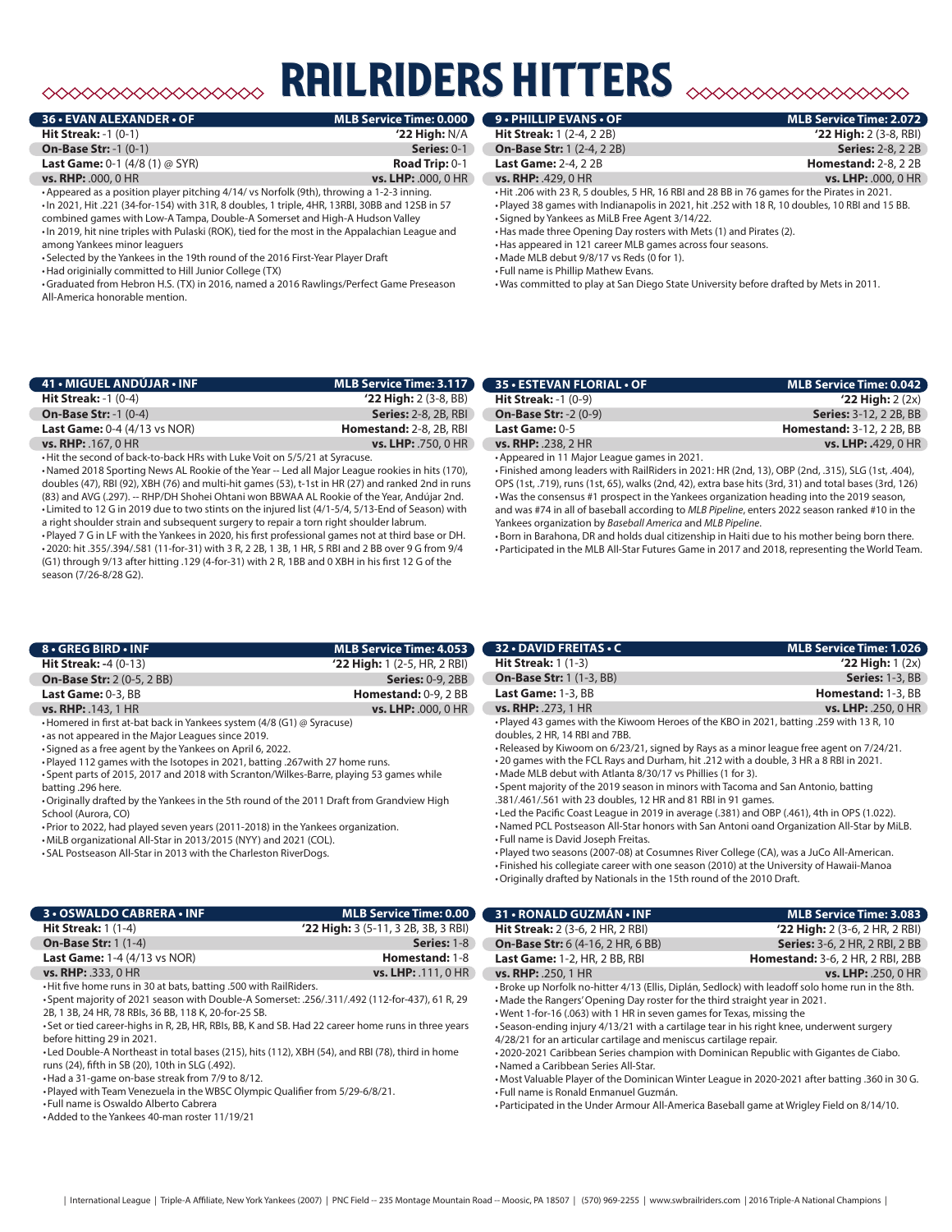# $\begin{picture}(180,10) \put(0,0){\line(1,0){10}} \put(0,0){\line(1,0){10}} \put(0,0){\line(1,0){10}} \put(0,0){\line(1,0){10}} \put(0,0){\line(1,0){10}} \put(0,0){\line(1,0){10}} \put(0,0){\line(1,0){10}} \put(0,0){\line(1,0){10}} \put(0,0){\line(1,0){10}} \put(0,0){\line(1,0){10}} \put(0,0){\line(1,0){10}} \put(0,0){\line(1,0){10}} \put(0$

# railriders hitters

| <b>36 • EVAN ALEXANDER • OF</b>                                                           | <b>MLB Service Time: 0.000</b> |
|-------------------------------------------------------------------------------------------|--------------------------------|
| <b>Hit Streak:</b> $-1$ $(0-1)$                                                           | $'22$ High: N/A                |
| <b>On-Base Str: -1 (0-1)</b>                                                              | Series: 0-1                    |
| <b>Last Game:</b> 0-1 $(4/8 (1) \oslash SYR)$                                             | Road Trip: $0-1$               |
| <b>vs. RHP: .000, 0 HR</b>                                                                | <b>vs. LHP: .000, 0 HR</b>     |
| • Appeared as a position player pitching 4/14/ vs Norfolk (9th), throwing a 1-2-3 inning. |                                |

•In 2021, Hit .221 (34-for-154) with 31R, 8 doubles, 1 triple, 4HR, 13RBI, 30BB and 12SB in 57 combined games with Low-A Tampa, Double-A Somerset and High-A Hudson Valley •In 2019, hit nine triples with Pulaski (ROK), tied for the most in the Appalachian League and among Yankees minor leaguers

• Selected by the Yankees in the 19th round of the 2016 First-Year Player Draft

•Had originially committed to Hill Junior College (TX)

•Graduated from Hebron H.S. (TX) in 2016, named a 2016 Rawlings/Perfect Game Preseason All-America honorable mention.

| <b>9 • PHILLIP EVANS • OF</b>     | <b>MLB Service Time: 2.072</b> |
|-----------------------------------|--------------------------------|
| <b>Hit Streak: 1 (2-4, 2 2B)</b>  | $'22$ High: 2 (3-8, RBI)       |
| <b>On-Base Str: 1 (2-4, 2 2B)</b> | <b>Series:</b> 2-8, 2 2B       |
| <b>Last Game: 2-4, 2 2B</b>       | <b>Homestand: 2-8, 2 2B</b>    |

**vs. RHP:** .429, 0 HR **vs. LHP:** .000, 0 HR

•Hit .206 with 23 R, 5 doubles, 5 HR, 16 RBI and 28 BB in 76 games for the Pirates in 2021.

•Played 38 games with Indianapolis in 2021, hit .252 with 18 R, 10 doubles, 10 RBI and 15 BB. • Signed by Yankees as MiLB Free Agent 3/14/22.

•Has made three Opening Day rosters with Mets (1) and Pirates (2).

•Has appeared in 121 career MLB games across four seasons.

•Made MLB debut 9/8/17 vs Reds (0 for 1).

• Full name is Phillip Mathew Evans.

•Was committed to play at San Diego State University before drafted by Mets in 2011.

| 41 • MIGUEL ANDÚJAR • INF                 | MLB Service Time: 3.117        |
|-------------------------------------------|--------------------------------|
| <b>Hit Streak: -1 <math>(0-4)</math></b>  | $'22$ High: 2 (3-8, BB)        |
| <b>On-Base Str: -1 <math>(0-4)</math></b> | <b>Series: 2-8, 2B, RBI</b>    |
| <b>Last Game: 0-4 (4/13 vs NOR)</b>       | <b>Homestand: 2-8, 2B, RBI</b> |
| $vs.$ RHP: $.167.0$ HR                    | <b>vs. LHP:</b> .750, 0 HR     |

•Hit the second of back-to-back HRs with Luke Voit on 5/5/21 at Syracuse.

•Named 2018 Sporting News AL Rookie of the Year -- Led all Major League rookies in hits (170), doubles (47), RBI (92), XBH (76) and multi-hit games (53), t-1st in HR (27) and ranked 2nd in runs (83) and AVG (.297). -- RHP/DH Shohei Ohtani won BBWAA AL Rookie of the Year, Andújar 2nd. • Limited to 12 G in 2019 due to two stints on the injured list (4/1-5/4, 5/13-End of Season) with a right shoulder strain and subsequent surgery to repair a torn right shoulder labrum.

•Played 7 G in LF with the Yankees in 2020, his first professional games not at third base or DH. •2020: hit .355/.394/.581 (11-for-31) with 3 R, 2 2B, 1 3B, 1 HR, 5 RBI and 2 BB over 9 G from 9/4 (G1) through 9/13 after hitting .129 (4-for-31) with 2 R, 1BB and 0 XBH in his first 12 G of the season (7/26-8/28 G2).

| <b>35 • ESTEVAN FLORIAL • OF</b>             | <b>MLB Service Time: 0.042</b>   |
|----------------------------------------------|----------------------------------|
| <b>Hit Streak:</b> $-1$ (0-9)                | $'22$ High: $2(2x)$              |
| <b>On-Base Str: -2 (0-9)</b>                 | <b>Series: 3-12, 2 2B, BB</b>    |
| Last Game: $0-5$                             | <b>Homestand: 3-12, 2 2B, BB</b> |
| <b>vs. RHP: .238, 2 HR</b>                   | <b>vs. LHP: .</b> 429, 0 HR      |
| • Appeared in 11 Major League games in 2021. |                                  |

• Finished among leaders with RailRiders in 2021: HR (2nd, 13), OBP (2nd, .315), SLG (1st, .404), OPS (1st, .719), runs (1st, 65), walks (2nd, 42), extra base hits (3rd, 31) and total bases (3rd, 126) •Was the consensus #1 prospect in the Yankees organization heading into the 2019 season, and was #74 in all of baseball according to *MLB Pipeline*, enters 2022 season ranked #10 in the Yankees organization by *Baseball America* and *MLB Pipeline*.

•Born in Barahona, DR and holds dual citizenship in Haiti due to his mother being born there. •Participated in the MLB All-Star Futures Game in 2017 and 2018, representing the World Team.

**32 • DAVID FREITAS • C MLB Service Time: 1.026 Hit Streak:** 1 (1-3) **'22 High:** 1 (2x) **On-Base Str:** 1 (1-3, BB) **Series:** 1-3, BB **Last Game:** 1-3, BB **Homestand:** 1-3, BB

| 8 • GREG BIRD • INF                       | <b>MLB Service Time: 4.053</b>   |
|-------------------------------------------|----------------------------------|
| <b>Hit Streak: -4 <math>(0-13)</math></b> | $'22$ High: 1 (2-5, HR, 2 RBI)   |
| <b>On-Base Str: 2 (0-5, 2 BB)</b>         | <b>Series: 0-9, 2BB</b>          |
| Last Game: 0-3, BB                        | <b>Homestand:</b> $0-9$ , $2$ BB |
| vs. RHP: .143, 1 HR                       | <b>vs. LHP: .000, 0 HR</b>       |

•Homered in first at-bat back in Yankees system (4/8 (G1) @ Syracuse)

• as not appeared in the Major Leagues since 2019.

• Signed as a free agent by the Yankees on April 6, 2022.

•Played 112 games with the Isotopes in 2021, batting .267with 27 home runs.

• Spent parts of 2015, 2017 and 2018 with Scranton/Wilkes-Barre, playing 53 games while batting .296 here.

•Originally drafted by the Yankees in the 5th round of the 2011 Draft from Grandview High School (Aurora, CO)

•Prior to 2022, had played seven years (2011-2018) in the Yankees organization.

•MiLB organizational All-Star in 2013/2015 (NYY) and 2021 (COL).

• SAL Postseason All-Star in 2013 with the Charleston RiverDogs.

| HR | <b>vs. RHP: .273, 1 HR</b>                                                              | vs. LHP: .250, 0 HR |
|----|-----------------------------------------------------------------------------------------|---------------------|
|    | • Played 43 games with the Kiwoom Heroes of the KBO in 2021, batting .259 with 13 R, 10 |                     |
|    | doubles, 2 HR, 14 RBI and 7BB.                                                          |                     |
|    | -Released by Kiwoom on 6/23/21, signed by Rays as a minor league free agent on 7/24/21. |                     |
|    | • 20 games with the FCL Rays and Durham, hit .212 with a double, 3 HR a 8 RBI in 2021.  |                     |
|    |                                                                                         |                     |

•Made MLB debut with Atlanta 8/30/17 vs Phillies (1 for 3).

• Spent majority of the 2019 season in minors with Tacoma and San Antonio, batting .381/.461/.561 with 23 doubles, 12 HR and 81 RBI in 91 games.

• Led the Pacific Coast League in 2019 in average (.381) and OBP (.461), 4th in OPS (1.022).

•Named PCL Postseason All-Star honors with San Antoni oand Organization All-Star by MiLB.

• Full name is David Joseph Freitas.

•Played two seasons (2007-08) at Cosumnes River College (CA), was a JuCo All-American.

• Finished his collegiate career with one season (2010) at the University of Hawaii-Manoa

•Originally drafted by Nationals in the 15th round of the 2010 Draft.

| 31 • RONALD GUZMÁN • INF                                                                                                                                                                                                                                                                                                                                                                                                                                                                                                                                    | <b>MLB Service Time: 3.083</b>                                                                                                                                                             |  |
|-------------------------------------------------------------------------------------------------------------------------------------------------------------------------------------------------------------------------------------------------------------------------------------------------------------------------------------------------------------------------------------------------------------------------------------------------------------------------------------------------------------------------------------------------------------|--------------------------------------------------------------------------------------------------------------------------------------------------------------------------------------------|--|
| <b>Hit Streak:</b> 2 (3-6, 2 HR, 2 RBI)                                                                                                                                                                                                                                                                                                                                                                                                                                                                                                                     | $'22$ High: 2 (3-6, 2 HR, 2 RBI)                                                                                                                                                           |  |
| <b>On-Base Str:</b> 6 (4-16, 2 HR, 6 BB)                                                                                                                                                                                                                                                                                                                                                                                                                                                                                                                    | <b>Series:</b> 3-6, 2 HR, 2 RBI, 2 BB                                                                                                                                                      |  |
| <b>Last Game: 1-2, HR, 2 BB, RBI</b>                                                                                                                                                                                                                                                                                                                                                                                                                                                                                                                        | <b>Homestand:</b> 3-6, 2 HR, 2 RBI, 2BB                                                                                                                                                    |  |
| <b>vs. RHP: .250, 1 HR</b>                                                                                                                                                                                                                                                                                                                                                                                                                                                                                                                                  | vs. LHP: .250, 0 HR                                                                                                                                                                        |  |
| . Broke up Norfolk no-hitter 4/13 (Ellis, Diplán, Sedlock) with leadoff solo home run in the 8th.<br>. Made the Rangers' Opening Day roster for the third straight year in 2021.<br>. Went 1-for-16 (.063) with 1 HR in seven games for Texas, missing the<br>. Season-ending injury 4/13/21 with a cartilage tear in his right knee, underwent surgery<br>4/28/21 for an articular cartilage and meniscus cartilage repair.<br>.2020-2021 Caribbean Series champion with Dominican Republic with Gigantes de Ciabo.<br>•Named a Caribbean Series All-Star. |                                                                                                                                                                                            |  |
| • Full name is Ronald Enmanuel Guzmán.                                                                                                                                                                                                                                                                                                                                                                                                                                                                                                                      | -Most Valuable Player of the Dominican Winter League in 2020-2021 after batting .360 in 30 G.<br>• Participated in the Under Armour All-America Baseball game at Wrigley Field on 8/14/10. |  |

## **3 • OSWALDO CABRERA • INF MLB Service Time: 0.00 Hit Streak:** 1 (1-4) **'22 High:** 3 (5-11, 3 2B, 3B, 3 RBI) **On-Base Str: 1** (1-4) **Series: 1-8 Series: 1-8 Series: 1-8 Contract Contract Contract Contract Contract Contract Contract Contract Contract Contract Contract Contract Contract Contract Contract Contract Contract Con Last Game:** 1-4 (4/13 vs NOR) **vs. RHP:** .333, 0 HR **vs. LHP:** .111, 0 HR

•Hit five home runs in 30 at bats, batting .500 with RailRiders.

• Spent majority of 2021 season with Double-A Somerset: .256/.311/.492 (112-for-437), 61 R, 29 2B, 1 3B, 24 HR, 78 RBIs, 36 BB, 118 K, 20-for-25 SB.

• Set or tied career-highs in R, 2B, HR, RBIs, BB, K and SB. Had 22 career home runs in three years before hitting 29 in 2021.

• Led Double-A Northeast in total bases (215), hits (112), XBH (54), and RBI (78), third in home runs (24), fifth in SB (20), 10th in SLG (.492).

•Had a 31-game on-base streak from 7/9 to 8/12.

•Played with Team Venezuela in the WBSC Olympic Qualifier from 5/29-6/8/21.

• Full name is Oswaldo Alberto Cabrera

•Added to the Yankees 40-man roster 11/19/21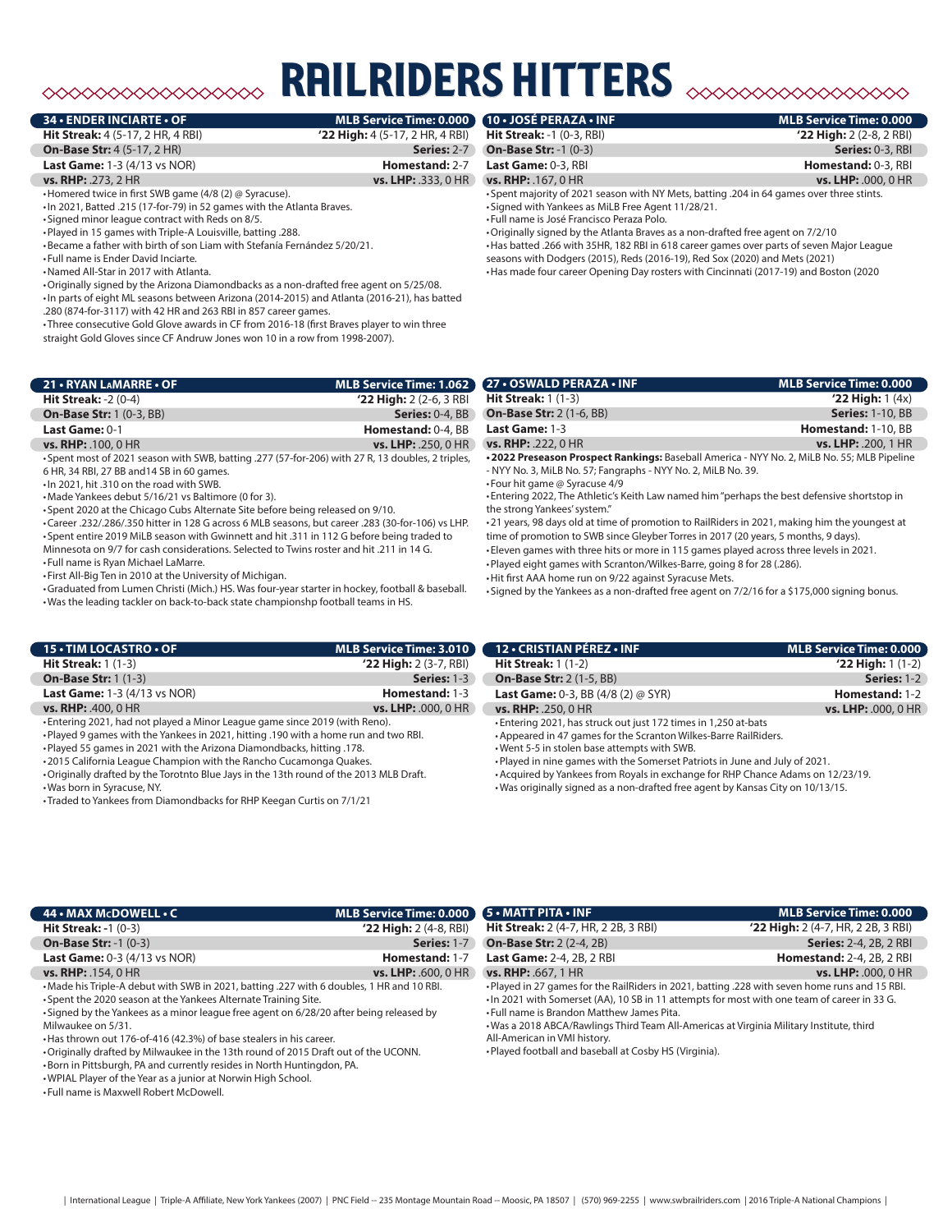# ◇◇◇◇◇◇◇◇◇◇◇◇◇◇◇◇◇

## **34 • ENDER INCIARTE • OF MLB Service Time: 0.000**

**Hit Streak:** 4 (5-17, 2 HR, 4 RBI) **'22 High:** 4 (5-17, 2 HR, 4 RBI)

**On-Base Str:** 4 (5-17, 2 HR) **Series:** 2-7

**Last Game:** 1-3 (4/13 vs NOR) **Homestand:** 2-7

### **vs. RHP:** .273, 2 HR **vs. LHP:** .333, 0 HR

•Homered twice in first SWB game (4/8 (2) @ Syracuse).

•In 2021, Batted .215 (17-for-79) in 52 games with the Atlanta Braves.

• Signed minor league contract with Reds on 8/5.

•Played in 15 games with Triple-A Louisville, batting .288.

•Became a father with birth of son Liam with Stefanía Fernández 5/20/21.

• Full name is Ender David Inciarte.

•Named All-Star in 2017 with Atlanta.

•Originally signed by the Arizona Diamondbacks as a non-drafted free agent on 5/25/08.

•In parts of eight ML seasons between Arizona (2014-2015) and Atlanta (2016-21), has batted .280 (874-for-3117) with 42 HR and 263 RBI in 857 career games.

• Three consecutive Gold Glove awards in CF from 2016-18 (first Braves player to win three straight Gold Gloves since CF Andruw Jones won 10 in a row from 1998-2007).

| 21 • RYAN LAMARRE • OF                   | MLB Service Time: 1.062    |
|------------------------------------------|----------------------------|
| <b>Hit Streak: -2 <math>(0-4)</math></b> | $'22$ High: 2 (2-6, 3 RBI) |
| <b>On-Base Str: 1 (0-3, BB)</b>          | <b>Series: 0-4, BB</b>     |
| Last Game: 0-1                           | <b>Homestand: 0-4, BB</b>  |
| <b>vs. RHP: .100, 0 HR</b>               | <b>vs. LHP: .250, 0 HR</b> |

• Spent most of 2021 season with SWB, batting .277 (57-for-206) with 27 R, 13 doubles, 2 triples,

6 HR, 34 RBI, 27 BB and14 SB in 60 games.

•In 2021, hit .310 on the road with SWB.

•Made Yankees debut 5/16/21 vs Baltimore (0 for 3). • Spent 2020 at the Chicago Cubs Alternate Site before being released on 9/10.

•Career .232/.286/.350 hitter in 128 G across 6 MLB seasons, but career .283 (30-for-106) vs LHP. • Spent entire 2019 MiLB season with Gwinnett and hit .311 in 112 G before being traded to

Minnesota on 9/7 for cash considerations. Selected to Twins roster and hit .211 in 14 G. • Full name is Ryan Michael LaMarre.

• First All-Big Ten in 2010 at the University of Michigan.

•Graduated from Lumen Christi (Mich.) HS. Was four-year starter in hockey, football & baseball. •Was the leading tackler on back-to-back state championshp football teams in HS.

| 15 • TIM LOCASTRO • OF              | <b>MLB Service Time: 3.010</b> |
|-------------------------------------|--------------------------------|
| <b>Hit Streak:</b> $1(1-3)$         | $'22$ High: $2(3-7, RBI)$      |
| <b>On-Base Str: 1 (1-3)</b>         | <b>Series: 1-3 (</b>           |
| <b>Last Game: 1-3 (4/13 vs NOR)</b> | Homestand: 1-3                 |
| <b>vs. RHP: .400, 0 HR</b>          | <b>vs. LHP:</b> .000, 0 HR     |

• Entering 2021, had not played a Minor League game since 2019 (with Reno).

•Played 9 games with the Yankees in 2021, hitting .190 with a home run and two RBI.

•Played 55 games in 2021 with the Arizona Diamondbacks, hitting .178.

•2015 California League Champion with the Rancho Cucamonga Quakes.

•Originally drafted by the Torotnto Blue Jays in the 13th round of the 2013 MLB Draft. •Was born in Syracuse, NY.

**10 • JOSÉ PERAZA • INF MLB Service Time: 0.00 Hit Streak:** -1 (0-3, RBI) **'22 High:** 2 (2-8, 2 RBI) **On-Base Str:** -1 (0-3) **Series:** 0-3, RBI **Last Game:** 0-3, RBI **Homestand:** 0-3, RBI

**vs. RHP:** .167, 0 HR **vs. LHP:** .000, 0 HR

• Spent majority of 2021 season with NY Mets, batting .204 in 64 games over three stints. • Signed with Yankees as MiLB Free Agent 11/28/21.

• Full name is José Francisco Peraza Polo.

**ILRIDERS HITTERS** 

•Originally signed by the Atlanta Braves as a non-drafted free agent on 7/2/10 •Has batted .266 with 35HR, 182 RBI in 618 career games over parts of seven Major League seasons with Dodgers (2015), Reds (2016-19), Red Sox (2020) and Mets (2021) •Has made four career Opening Day rosters with Cincinnati (2017-19) and Boston (2020

| <b>27 • OSWALD PERAZA • INF</b>                                                            | <b>MLB Service Time: 0.000</b> |
|--------------------------------------------------------------------------------------------|--------------------------------|
| <b>Hit Streak:</b> $1(1-3)$                                                                | $'22$ High: 1 $(4x)$           |
| <b>On-Base Str: 2 (1-6, BB)</b>                                                            | <b>Series: 1-10, BB</b>        |
| <b>Last Game: 1-3</b>                                                                      | Homestand: 1-10, BB            |
| <b>vs. RHP: .222, 0 HR</b>                                                                 | <b>vs. LHP: .200, 1 HR</b>     |
| .2022 Preseason Prospect Rankings: Baseball America - NYY No. 2, MiLB No. 55; MLB Pipeline |                                |

- NYY No. 3, MiLB No. 57; Fangraphs - NYY No. 2, MiLB No. 39. • Four hit game @ Syracuse 4/9

• Entering 2022, The Athletic's Keith Law named him "perhaps the best defensive shortstop in the strong Yankees' system."

•21 years, 98 days old at time of promotion to RailRiders in 2021, making him the youngest at time of promotion to SWB since Gleyber Torres in 2017 (20 years, 5 months, 9 days).

• Eleven games with three hits or more in 115 games played across three levels in 2021. •Played eight games with Scranton/Wilkes-Barre, going 8 for 28 (.286).

•Hit first AAA home run on 9/22 against Syracuse Mets.

• Signed by the Yankees as a non-drafted free agent on 7/2/16 for a \$175,000 signing bonus.

| 12 - CRISTIAN PÉREZ - INF                                       | MLB Service Time: 0.000 |
|-----------------------------------------------------------------|-------------------------|
| <b>Hit Streak:</b> 1 (1-2)                                      | $'22$ High: 1 $(1-2)$   |
| <b>On-Base Str: 2 (1-5, BB)</b>                                 | Series: 1-2             |
| <b>Last Game:</b> 0-3, BB $(4/8 (2) \oslash SYR)$               | Homestand: 1-2          |
| <b>vs. RHP: .250, 0 HR</b>                                      | vs. LHP: .000, 0 HR     |
| • Entering 2021, has struck out just 172 times in 1,250 at-bats |                         |

•Appeared in 47 games for the Scranton Wilkes-Barre RailRiders. •Went 5-5 in stolen base attempts with SWB.

•Played in nine games with the Somerset Patriots in June and July of 2021.

•Acquired by Yankees from Royals in exchange for RHP Chance Adams on 12/23/19.

•Was originally signed as a non-drafted free agent by Kansas City on 10/13/15.

| 44 • MAX McDOWELL • C                                                                    | MLB Service Time: 0.000 5 · MATT PITA · INF |                                                                                                | <b>MLB Service Time: 0.000</b>       |
|------------------------------------------------------------------------------------------|---------------------------------------------|------------------------------------------------------------------------------------------------|--------------------------------------|
| <b>Hit Streak: -1 <math>(0-3)</math></b>                                                 | $'22$ High: 2 (4-8, RBI)                    | <b>Hit Streak:</b> 2 (4-7, HR, 2 2B, 3 RBI)                                                    | $'22$ High: 2 (4-7, HR, 2 2B, 3 RBI) |
| <b>On-Base Str: -1 (0-3)</b>                                                             | <b>Series: 1-7</b>                          | <b>On-Base Str: 2 (2-4, 2B)</b>                                                                | <b>Series: 2-4, 2B, 2 RBI</b>        |
| <b>Last Game: 0-3 (4/13 vs NOR)</b>                                                      | Homestand: 1-7                              | <b>Last Game: 2-4, 2B, 2 RBI</b>                                                               | <b>Homestand: 2-4, 2B, 2 RBI</b>     |
| <b>vs. RHP:</b> .154, 0 HR                                                               | <b>vs. LHP:</b> .600, 0 HR                  | <b>vs. RHP: .667, 1 HR</b>                                                                     | <b>vs. LHP: .000, 0 HR</b>           |
| •Made his Triple-A debut with SWB in 2021, batting .227 with 6 doubles, 1 HR and 10 RBI. |                                             | . Played in 27 games for the RailRiders in 2021, batting .228 with seven home runs and 15 RBI. |                                      |
| • Spent the 2020 season at the Yankees Alternate Training Site.                          |                                             | -In 2021 with Somerset (AA), 10 SB in 11 attempts for most with one team of career in 33 G.    |                                      |
| • Signed by the Yankees as a minor league free agent on 6/28/20 after being released by  |                                             | • Full name is Brandon Matthew James Pita.                                                     |                                      |

Milwaukee on 5/31.

•Has thrown out 176-of-416 (42.3%) of base stealers in his career.

•Originally drafted by Milwaukee in the 13th round of 2015 Draft out of the UCONN.

•Born in Pittsburgh, PA and currently resides in North Huntingdon, PA.

•WPIAL Player of the Year as a junior at Norwin High School.

• Full name is Maxwell Robert McDowell.

•Was a 2018 ABCA/Rawlings Third Team All-Americas at Virginia Military Institute, third All-American in VMI history.

•Played football and baseball at Cosby HS (Virginia).

<sup>•</sup> Traded to Yankees from Diamondbacks for RHP Keegan Curtis on 7/1/21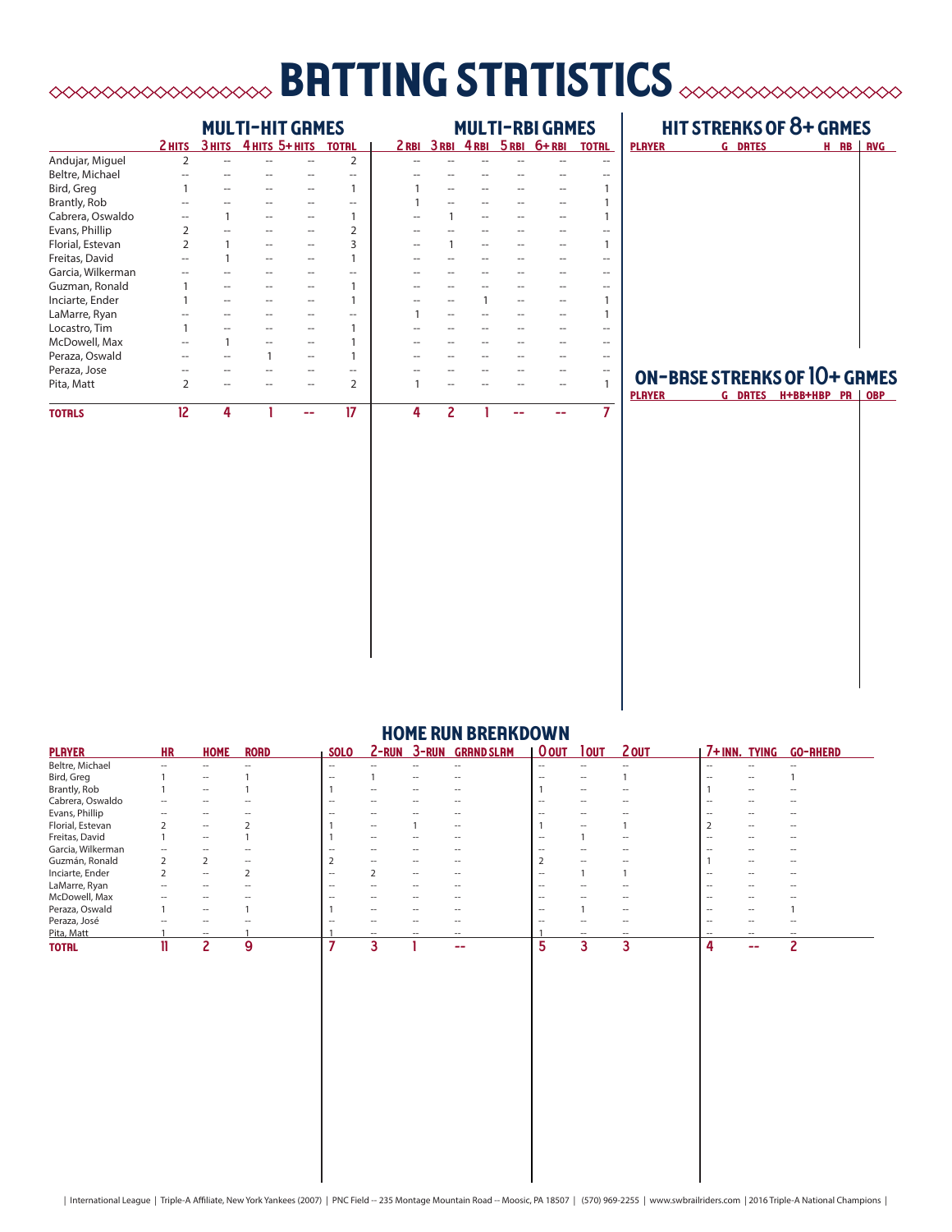# **briting stritistics**  $\infty$  **brows and the strition of the strition of the strition of the strition of the strition of the strition of the strition of the strition of**  $\sim$

|                   |                | <b>MULTI-HIT GRMES</b> |                    |  |                |   |   | <b>MULTI-RBI GRMES</b> |  |                           |              |
|-------------------|----------------|------------------------|--------------------|--|----------------|---|---|------------------------|--|---------------------------|--------------|
|                   | 2 HITS         |                        | ЗНІТЬ 4НІТЬ 5+НІТЬ |  | <b>TOTRL</b>   |   |   |                        |  | 2RBI 3RBI 4RBI 5RBI 6+RBI | <b>TOTRL</b> |
| Andujar, Miguel   | $\overline{2}$ |                        |                    |  | 2              |   |   |                        |  |                           |              |
| Beltre, Michael   |                |                        |                    |  | --             |   |   |                        |  |                           |              |
| Bird, Greg        |                |                        |                    |  | 1              |   |   |                        |  |                           |              |
| Brantly, Rob      |                |                        |                    |  | --             |   |   |                        |  |                           |              |
| Cabrera, Oswaldo  |                |                        |                    |  | 1              |   |   |                        |  |                           |              |
| Evans, Phillip    | $\overline{2}$ |                        |                    |  | $\overline{2}$ |   |   |                        |  |                           |              |
| Florial, Estevan  | $\overline{2}$ |                        |                    |  | 3              |   |   |                        |  |                           |              |
| Freitas, David    |                |                        |                    |  | 1              |   |   |                        |  |                           |              |
| Garcia, Wilkerman |                |                        |                    |  | --             |   |   |                        |  |                           |              |
| Guzman, Ronald    |                |                        |                    |  |                |   |   |                        |  |                           |              |
| Inciarte, Ender   |                |                        |                    |  |                |   |   |                        |  |                           |              |
| LaMarre, Ryan     |                |                        |                    |  |                |   |   |                        |  |                           |              |
| Locastro, Tim     |                |                        |                    |  |                |   |   |                        |  |                           |              |
| McDowell, Max     |                |                        |                    |  |                |   |   |                        |  |                           |              |
| Peraza, Oswald    |                |                        |                    |  |                |   |   |                        |  |                           |              |
| Peraza, Jose      |                |                        |                    |  | --             |   |   |                        |  |                           |              |
| Pita, Matt        | $\overline{2}$ |                        |                    |  | $\overline{2}$ |   |   |                        |  |                           |              |
| <b>TOTRLS</b>     | 12             | Δ                      |                    |  | 17             | 4 | 2 |                        |  |                           | 7            |

# hit streaks of 8+ games

| <b>PLAYER</b> | <b>G DRTES</b> | H RB RVG |  |
|---------------|----------------|----------|--|
|               |                |          |  |
|               |                |          |  |
|               |                |          |  |
|               |                |          |  |
|               |                |          |  |
|               |                |          |  |
|               |                |          |  |
|               |                |          |  |
|               |                |          |  |
|               |                |          |  |
|               |                |          |  |
|               |                |          |  |

# ON-BRSE STREAKS OF 10+ GAMES

G DRTES H+BB+HBP PR | OBP

| <b>HOME RUN BREAKDOWN</b> |           |                          |             |                          |              |                          |                          |                          |                          |                          |                          |                          |                   |
|---------------------------|-----------|--------------------------|-------------|--------------------------|--------------|--------------------------|--------------------------|--------------------------|--------------------------|--------------------------|--------------------------|--------------------------|-------------------|
| <b>PLAYER</b>             | <b>HR</b> | <b>HOME</b>              | <b>RORD</b> | <b>SOLO</b>              | <u>2-run</u> | <b>3-RUN</b>             | <b>GRAND SLAM</b>        | <b>O</b> OUT             | <b>TOUT</b>              | 20UT                     | 7+INN. TYING             |                          | <b>GO-RHERD</b>   |
| Beltre, Michael           |           |                          |             | $\overline{\phantom{a}}$ |              |                          |                          | $-$                      |                          | --                       | --                       | $\overline{\phantom{a}}$ |                   |
| Bird, Greg                |           |                          |             |                          |              |                          |                          |                          |                          |                          |                          |                          |                   |
| Brantly, Rob              |           | $\overline{\phantom{a}}$ |             |                          |              |                          |                          |                          | $\overline{\phantom{a}}$ |                          |                          | $\hspace{0.05cm}$        |                   |
| Cabrera, Oswaldo          | --        |                          |             | $\overline{\phantom{a}}$ |              |                          |                          | $\sim$                   | $- -$                    | --                       | $\overline{\phantom{a}}$ | $\overline{a}$           |                   |
| Evans, Phillip            |           |                          |             | $\hspace{0.05cm}$        |              |                          | $\hspace{0.05cm}$        | $- -$                    | $\overline{a}$           |                          | $\hspace{0.05cm}$        | $\hspace{0.05cm}$        |                   |
| Florial, Estevan          |           | $\overline{\phantom{a}}$ |             |                          | $ -$         |                          | $ -$                     |                          | --                       |                          | $\overline{2}$           | $ -$                     |                   |
| Freitas, David            |           | $\overline{\phantom{a}}$ |             |                          | --           |                          |                          | $\sim$                   |                          | $\overline{\phantom{a}}$ | $\overline{\phantom{a}}$ | $\overline{\phantom{a}}$ |                   |
| Garcia, Wilkerman         |           |                          |             | $\overline{a}$           | --           |                          | $\hspace{0.05cm}$        | $\hspace{0.05cm}$        | $\overline{\phantom{a}}$ | --                       | $\overline{a}$           | $\hspace{0.05cm}$        | $\hspace{0.05cm}$ |
| Guzmán, Ronald            |           |                          | $-$         |                          | $-$          |                          | $\overline{\phantom{a}}$ |                          | $ -$                     | --                       |                          | $ -$                     | --                |
| Inciarte, Ender           |           | $\hspace{0.05cm}$        |             | $\hspace{0.05cm}$        |              | $\overline{\phantom{a}}$ |                          | $\hspace{0.05cm} -$      |                          |                          | $\hspace{0.05cm}$        |                          |                   |
| LaMarre, Ryan             |           |                          |             | $\overline{\phantom{a}}$ |              |                          |                          | $\overline{\phantom{a}}$ |                          |                          | --                       |                          |                   |
| McDowell, Max             |           |                          |             |                          |              |                          |                          | $\overline{a}$           |                          |                          | $\overline{a}$           |                          |                   |
| Peraza, Oswald            |           | $\hspace{0.05cm}$        |             |                          |              |                          |                          | $\hspace{0.05cm}$        |                          | --                       | $\overline{\phantom{a}}$ |                          |                   |
| Peraza, José              |           |                          |             |                          |              |                          |                          | $\overline{\phantom{a}}$ |                          |                          | $\hspace{0.05cm}$        |                          |                   |
| Pita, Matt                |           | $\overline{\phantom{a}}$ |             |                          |              |                          |                          |                          | --                       | $- -$                    | $-$                      |                          |                   |
| <b>TOTAL</b>              | n         |                          | 9           |                          |              |                          | --                       | 5                        | 3                        | 3                        | 4                        | --                       | ־                 |
|                           |           |                          |             |                          |              |                          |                          |                          |                          |                          |                          |                          |                   |

# home run breakdown

| International League | Triple-A Affiliate, New York Yankees (2007) | PNC Field -- 235 Montage Mountain Road -- Moosic, PA 18507 | (570) 969-2255 | www.swbrailriders.com | 2016 Triple-A National Champions |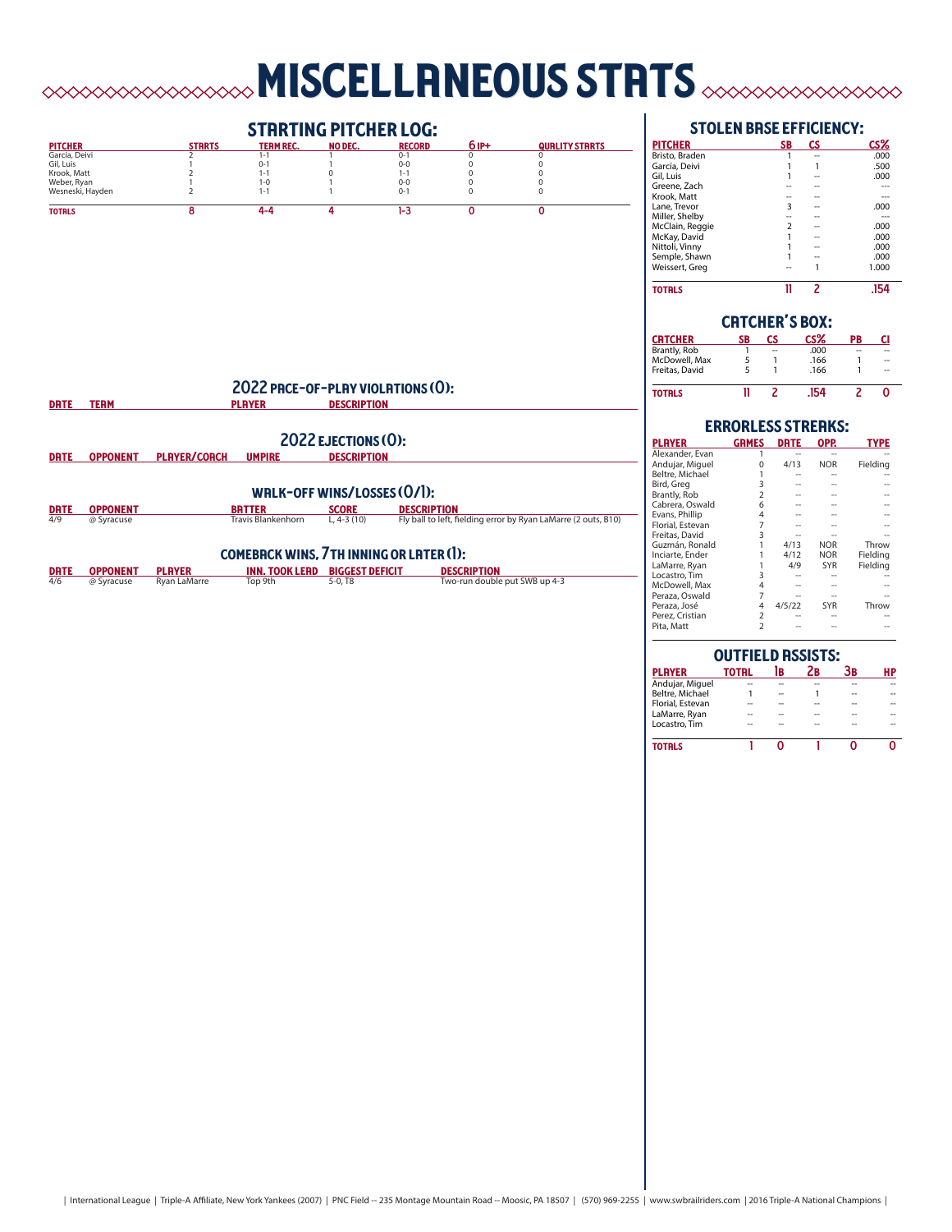# **MISCELLANEOUS STRTS**  $\sim\sim\sim\sim\sim\sim\sim\sim$



# stolen base efficiency:

| <b>PITCHER</b>  | <b>SB</b> | СS | CS%   |
|-----------------|-----------|----|-------|
| Bristo, Braden  |           |    | .000  |
| García, Deivi   |           |    | .500  |
| Gil, Luis       |           |    | .000  |
| Greene, Zach    |           |    |       |
| Krook, Matt     |           |    |       |
| Lane. Trevor    | 3         |    | .000  |
| Miller, Shelby  |           |    |       |
| McClain, Reggie | ς         |    | .000  |
| McKay, David    |           |    | .000  |
| Nittoli, Vinny  |           |    | .000  |
| Semple, Shawn   |           |    | .000  |
| Weissert, Greg  |           |    | 1.000 |
| <b>TOTALS</b>   |           | 2  |       |

|                | <b>CRTCHER'S BOX:</b><br>CS%<br>СS<br>PB<br>CI<br>SB<br>.000<br>--<br>--<br>.166<br>5<br>--<br>.166<br>5<br>-- |     |  |  |
|----------------|----------------------------------------------------------------------------------------------------------------|-----|--|--|
| CRTCHER        |                                                                                                                |     |  |  |
| Brantly, Rob   |                                                                                                                |     |  |  |
| McDowell, Max  |                                                                                                                |     |  |  |
| Freitas, David |                                                                                                                |     |  |  |
| TOTRLS         |                                                                                                                | 154 |  |  |

| <b>ERRORLESS STREAKS:</b> |                |             |            |             |  |  |  |  |  |  |
|---------------------------|----------------|-------------|------------|-------------|--|--|--|--|--|--|
| <b>PLAYER</b>             | <b>GRMES</b>   | <b>DRTE</b> | OPP.       | <b>TYPE</b> |  |  |  |  |  |  |
| Alexander, Evan           |                |             |            |             |  |  |  |  |  |  |
| Andujar, Miguel           |                | 4/13        | <b>NOR</b> | Fielding    |  |  |  |  |  |  |
| Beltre, Michael           |                |             |            |             |  |  |  |  |  |  |
| Bird, Greg                | 3              |             |            |             |  |  |  |  |  |  |
| Brantly, Rob              | $\overline{2}$ |             |            |             |  |  |  |  |  |  |
| Cabrera, Oswald           | 6              |             |            |             |  |  |  |  |  |  |
| Evans, Phillip            | 4              |             |            |             |  |  |  |  |  |  |
| Florial, Estevan          | 7              |             |            |             |  |  |  |  |  |  |
| Freitas, David            | 3              |             |            |             |  |  |  |  |  |  |
| Guzmán, Ronald            |                | 4/13        | <b>NOR</b> | Throw       |  |  |  |  |  |  |
| Inciarte, Ender           |                | 4/12        | <b>NOR</b> | Fielding    |  |  |  |  |  |  |
| LaMarre, Ryan             |                | 4/9         | <b>SYR</b> | Fielding    |  |  |  |  |  |  |
| Locastro, Tim             | 3              |             |            |             |  |  |  |  |  |  |
| McDowell, Max             | 4              |             |            |             |  |  |  |  |  |  |
| Peraza, Oswald            | $\overline{7}$ |             |            |             |  |  |  |  |  |  |
| Peraza, José              | 4              | 4/5/22      | <b>SYR</b> | Throw       |  |  |  |  |  |  |
| Perez, Cristian           | 2              |             |            |             |  |  |  |  |  |  |
| Pita, Matt                | $\overline{2}$ |             |            |             |  |  |  |  |  |  |
|                           |                |             |            |             |  |  |  |  |  |  |

| <b>OUTFIELD ASSISTS:</b> |              |    |    |    |    |  |  |  |  |  |
|--------------------------|--------------|----|----|----|----|--|--|--|--|--|
| <b>PLAYER</b>            | <b>TOTRL</b> | lв | Zв | Зв | HP |  |  |  |  |  |
| Andujar, Miguel          |              |    |    |    |    |  |  |  |  |  |
| Beltre, Michael          |              | -- |    | -- |    |  |  |  |  |  |
| Florial, Estevan         |              |    |    |    |    |  |  |  |  |  |
| LaMarre, Ryan            |              |    |    |    |    |  |  |  |  |  |
| Locastro. Tim            |              |    |    |    |    |  |  |  |  |  |
| <b>TOTRLS</b>            |              |    |    |    |    |  |  |  |  |  |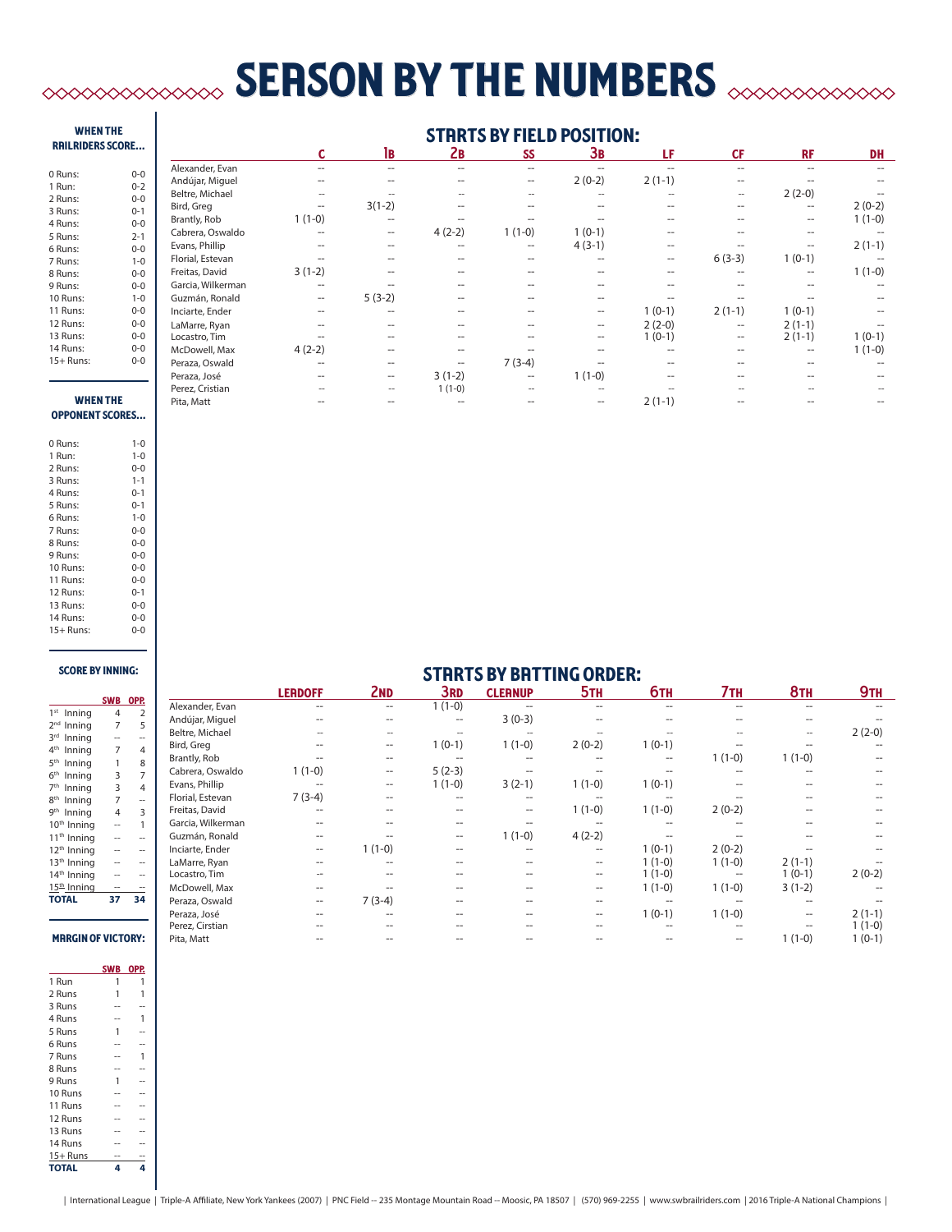# **SERSON BY THE NUMBERS**  $\infty$

# when the railriders score...

| 0 Runs:   | $0 - 0$ |
|-----------|---------|
| 1 Run:    | $0 - 2$ |
| 2 Runs:   | $0 - 0$ |
| 3 Runs:   | $0 - 1$ |
| 4 Runs:   | $0 - 0$ |
| 5 Runs:   | $2 - 1$ |
| 6 Runs:   | $0 - 0$ |
| 7 Runs:   | $1 - 0$ |
| 8 Runs:   | $0 - 0$ |
| 9 Runs:   | $0 - 0$ |
| 10 Runs:  | $1 - 0$ |
| 11 Runs:  | $0 - 0$ |
| 12 Runs:  | $0 - 0$ |
| 13 Runs:  | $0 - 0$ |
| 14 Runs:  | $0 - 0$ |
| 15+ Runs: | 0-0     |

# **STRRTS BY FIELD POSITION:**

|                   |                   | 1B                |          | SS                |                                       | LF       | <b>CF</b>         | <b>RF</b>         | <b>DH</b> |
|-------------------|-------------------|-------------------|----------|-------------------|---------------------------------------|----------|-------------------|-------------------|-----------|
| Alexander, Evan   | --                | $-$               | --       | $- -$             |                                       |          | $-$               |                   |           |
| Andújar, Miguel   | --                | $\hspace{0.05cm}$ |          | --                | $2(0-2)$                              | $2(1-1)$ | $\hspace{0.05cm}$ |                   |           |
| Beltre, Michael   | $\hspace{0.05cm}$ |                   |          | $\hspace{0.05cm}$ | $\hspace{0.05cm}$ – $\hspace{0.05cm}$ |          | $\hspace{0.05cm}$ | $2(2-0)$          |           |
| Bird, Greg        | $\hspace{0.05cm}$ | $3(1-2)$          |          | --                | --                                    |          | $-$               | $- -$             | $2(0-2)$  |
| Brantly, Rob      | $1(1-0)$          | $\hspace{0.05cm}$ |          |                   |                                       |          | --                | $\hspace{0.05cm}$ | $1(1-0)$  |
| Cabrera, Oswaldo  |                   | $\hspace{0.05cm}$ | $4(2-2)$ | $1(1-0)$          | $1(0-1)$                              |          |                   |                   |           |
| Evans, Phillip    |                   | $-$               |          | $\hspace{0.05cm}$ | $4(3-1)$                              | --       |                   |                   | $2(1-1)$  |
| Florial, Estevan  |                   |                   |          |                   |                                       | --       | $6(3-3)$          | $1(0-1)$          |           |
| Freitas, David    | $3(1-2)$          | $-$               |          | --                | --                                    |          |                   | $\hspace{0.05cm}$ | $1(1-0)$  |
| Garcia, Wilkerman | $- -$             |                   |          |                   |                                       |          |                   |                   |           |
| Guzmán, Ronald    | --                | $5(3-2)$          |          |                   | --                                    |          |                   |                   |           |
| Inciarte, Ender   |                   | $-$               |          |                   | $\hspace{0.05cm}$                     | $1(0-1)$ | $2(1-1)$          | $1(0-1)$          |           |
| LaMarre, Ryan     |                   | $\hspace{0.05cm}$ | --       | --                | $\hspace{0.05cm}$                     | $2(2-0)$ | $\hspace{0.05cm}$ | $2(1-1)$          |           |
| Locastro, Tim     |                   |                   |          |                   | --                                    | $1(0-1)$ | $\hspace{0.05cm}$ | $2(1-1)$          | $1(0-1)$  |
| McDowell, Max     | $4(2-2)$          | $-$               |          |                   | --                                    |          | $-$               | --                | $1(1-0)$  |
| Peraza, Oswald    | --                | $- -$             | --       | $7(3-4)$          |                                       |          |                   |                   |           |
| Peraza, José      |                   | $\hspace{0.05cm}$ | $3(1-2)$ | $\hspace{0.05cm}$ | $1(1-0)$                              |          |                   |                   |           |
| Perez, Cristian   |                   | $\hspace{0.05cm}$ | $1(1-0)$ | $\overline{a}$    | $\hspace{0.05cm}$ – $\hspace{0.05cm}$ |          |                   |                   |           |
| Pita, Matt        |                   | $-$               |          |                   | $\hspace{0.05cm}$                     | $2(1-1)$ |                   |                   |           |
|                   |                   |                   |          | 2в                |                                       | Зв       |                   |                   |           |

### **WHEN** opponent scores...

| 0 Runs:   | $1 - 0$ |
|-----------|---------|
| 1 Run:    | $1 - 0$ |
| 2 Runs:   | $0 - 0$ |
| 3 Runs:   | $1 - 1$ |
| 4 Runs:   | $0 - 1$ |
| 5 Runs:   | $0 - 1$ |
| 6 Runs:   | $1 - 0$ |
| 7 Runs:   | $0 - 0$ |
| 8 Runs:   | $0 - 0$ |
| 9 Runs:   | $0 - 0$ |
| 10 Runs:  | $0 - 0$ |
| 11 Runs:  | $0 - 0$ |
| 12 Runs:  | $0 - 1$ |
| 13 Runs:  | $0 - 0$ |
| 14 Runs:  | $0 - 0$ |
| 15+ Runs: | 0-0     |
|           |         |

## score by inning:

|                           | SWB            | OPP. |
|---------------------------|----------------|------|
| 1 <sup>st</sup><br>Inning | 4              | 2    |
| 2 <sub>nd</sub><br>Inning | $\overline{7}$ | 5    |
| 3rd<br>Inning             |                |      |
| 4 <sup>th</sup><br>Inning | 7              | 4    |
| $5^{\text{th}}$<br>Inning | 1              | 8    |
| $6^{\text{th}}$<br>Inning | 3              | 7    |
| 7 <sup>th</sup><br>Inning | 3              | 4    |
| 8 <sup>th</sup><br>Inning | 7              |      |
| gth<br>Inning             | 4              | 3    |
| 10 <sup>th</sup> Inning   |                | 1    |
| 11 <sup>th</sup> Inning   |                |      |
| 12 <sup>th</sup> Inning   |                |      |
| 13 <sup>th</sup> Inning   |                |      |
| 14 <sup>th</sup> Inning   |                |      |
| $15th$ Inning             |                |      |
| <b>TOTAL</b>              | 37             |      |
|                           |                |      |
|                           |                |      |

# **MRRGIN OF VICTORY:**

|              | <b>SWB</b> | OPP. |
|--------------|------------|------|
| 1 Run        | 1          | 1    |
| 2 Runs       | 1          |      |
| 3 Runs       |            |      |
| 4 Runs       |            | 1    |
| 5 Runs       | 1          |      |
| 6 Runs       |            |      |
| 7 Runs       |            | 1    |
| 8 Runs       |            |      |
| 9 Runs       | 1          |      |
| 10 Runs      |            |      |
| 11 Runs      |            |      |
| 12 Runs      |            |      |
| 13 Runs      |            |      |
| 14 Runs      |            |      |
| $15+$ Runs   |            |      |
| <b>TOTAL</b> | Δ          | a    |

|                   |                   |                          |                                                     | <b>STRRTS BY BRTTING ORDER:</b> |                   |            |          |                          |            |
|-------------------|-------------------|--------------------------|-----------------------------------------------------|---------------------------------|-------------------|------------|----------|--------------------------|------------|
|                   | <b>LERDOFF</b>    | 2 <sub>ND</sub>          | 3rd                                                 | <b>CLEANUP</b>                  | 5 <sub>TH</sub>   | <b>6тн</b> | 7тн      | <b>8TH</b>               | <b>9тн</b> |
| Alexander, Evan   |                   | $\hspace{0.05cm} -$      | $1(1-0)$                                            |                                 |                   |            |          |                          |            |
| Andújar, Miguel   |                   | $- -$                    | $\overline{\phantom{m}}$                            | $3(0-3)$                        |                   |            |          |                          |            |
| Beltre, Michael   |                   | --                       |                                                     |                                 |                   |            |          | $\overline{\phantom{a}}$ | $2(2-0)$   |
| Bird, Greg        |                   | $\overline{\phantom{m}}$ | $1(0-1)$                                            | $1(1-0)$                        | $2(0-2)$          | $1(0-1)$   |          |                          |            |
| Brantly, Rob      |                   | $- -$                    |                                                     |                                 |                   |            | $1(1-0)$ | $1(1-0)$                 |            |
| Cabrera, Oswaldo  | $1(1-0)$          | $\overline{\phantom{m}}$ | $5(2-3)$                                            |                                 |                   |            | --       | --                       |            |
| Evans, Phillip    |                   | $\hspace{0.05cm}$        | $1(1-0)$                                            | $3(2-1)$                        | $1(1-0)$          | $1(0-1)$   |          |                          |            |
| Florial, Estevan  | $7(3-4)$          | $- -$                    |                                                     |                                 |                   |            |          |                          |            |
| Freitas, David    |                   | $-$                      |                                                     | --                              | $1(1-0)$          | $1(1-0)$   | $2(0-2)$ |                          |            |
| Garcia, Wilkerman | --                | $- -$                    | $-$                                                 | --                              |                   |            | --       |                          |            |
| Guzmán, Ronald    |                   |                          | $\hspace{0.05cm} -\hspace{0.05cm} -\hspace{0.05cm}$ | $1(1-0)$                        | $4(2-2)$          |            |          |                          |            |
| Inciarte, Ender   | $\qquad \qquad -$ | $1(1-0)$                 | $\overline{\phantom{m}}$                            |                                 | $- -$             | $1(0-1)$   | $2(0-2)$ |                          |            |
| LaMarre, Ryan     | --                | $-$                      | --                                                  |                                 | $\qquad \qquad -$ | $1(1-0)$   | $1(1-0)$ | $2(1-1)$                 |            |
| Locastro, Tim     |                   |                          |                                                     |                                 | --                | $1(1-0)$   |          | $1(0-1)$                 | $2(0-2)$   |
| McDowell, Max     | --                |                          | $-$                                                 |                                 | $\qquad \qquad -$ | $1(1-0)$   | $1(1-0)$ | $3(1-2)$                 |            |
| Peraza, Oswald    | --                | $7(3-4)$                 |                                                     |                                 | --                |            |          |                          |            |
| Peraza, José      |                   | $- -$                    | $-$                                                 |                                 | $\qquad \qquad -$ | $1(0-1)$   | $1(1-0)$ | $\qquad \qquad -$        | $2(1-1)$   |
| Perez, Cirstian   |                   | --                       |                                                     |                                 |                   |            | $-$      |                          | $1(1-0)$   |
| Pita, Matt        |                   |                          |                                                     |                                 |                   |            | $- -$    | $1(1-0)$                 | $1(0-1)$   |

|  | International League   Triple-A Affiliate, New York Yankees (2007)   PNC Field -- 235 Montage Mountain Road -- Moosic, PA 18507   (570) 969-2255   www.swbrailriders.com   2016 Triple-A National Champions |  |  |
|--|-------------------------------------------------------------------------------------------------------------------------------------------------------------------------------------------------------------|--|--|
|  |                                                                                                                                                                                                             |  |  |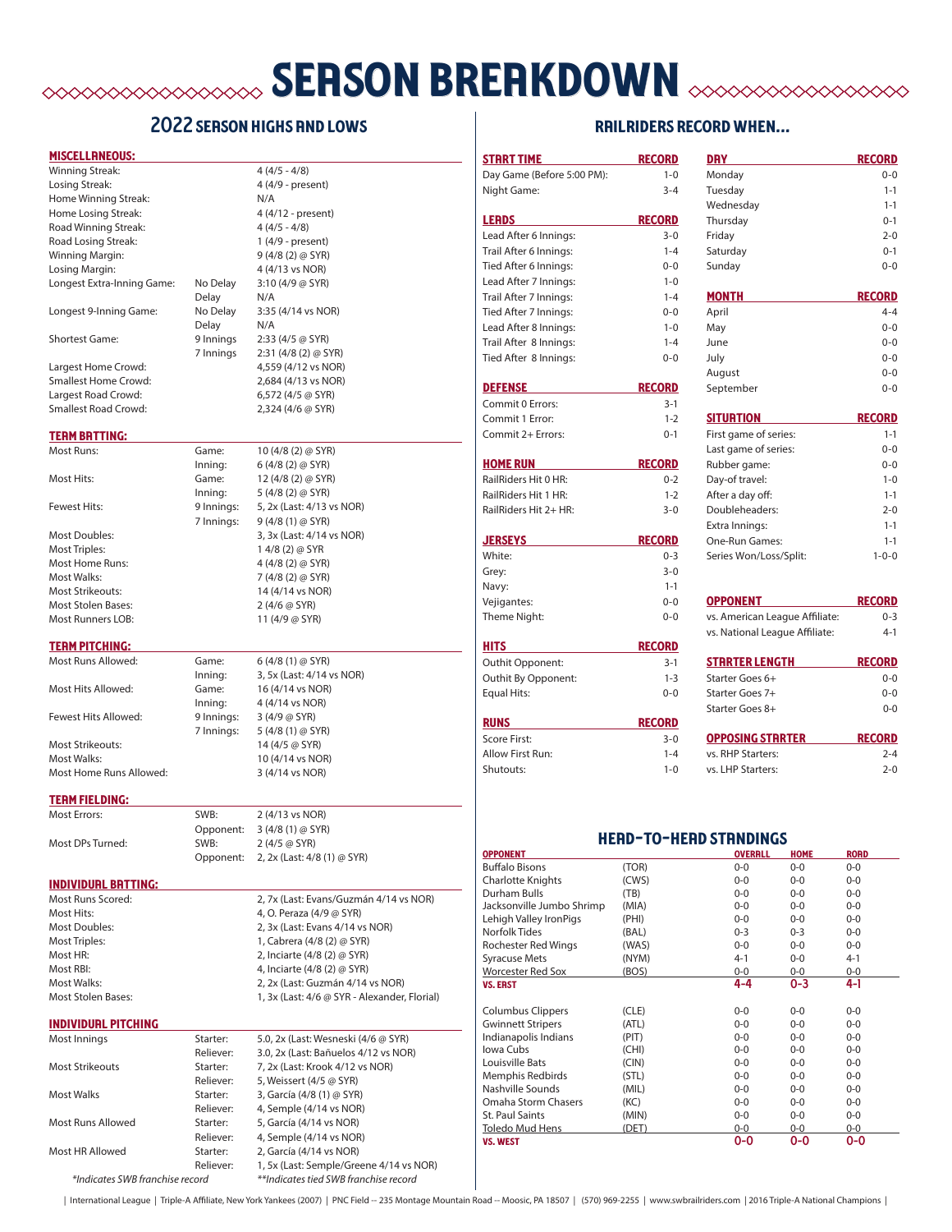# **SERSON BREAKDOWN EXERCEDINGLY**

# 2022 SERSON HIGHS AND LOWS

## miscellaneous:

| Winning Streak:             |           | $4(4/5 - 4/8)$             |
|-----------------------------|-----------|----------------------------|
| Losing Streak:              |           | 4 (4/9 - present)          |
| Home Winning Streak:        |           | N/A                        |
| Home Losing Streak:         |           | 4 (4/12 - present)         |
| Road Winning Streak:        |           | $4(4/5 - 4/8)$             |
| Road Losing Streak:         |           | 1 (4/9 - present)          |
| Winning Margin:             |           | $9(4/8(2)$ @ SYR)          |
| Losing Margin:              |           | 4 (4/13 vs NOR)            |
| Longest Extra-Inning Game:  | No Delay  | 3:10(4/9@SYR)              |
|                             | Delay     | N/A                        |
| Longest 9-Inning Game:      | No Delay  | 3:35 (4/14 vs NOR)         |
|                             | Delay     | N/A                        |
| <b>Shortest Game:</b>       | 9 Innings | 2:33 (4/5 @ SYR)           |
|                             | 7 Innings | $2:31(4/8(2) \oslash SYR)$ |
| Largest Home Crowd:         |           | 4,559 (4/12 vs NOR)        |
| Smallest Home Crowd:        |           | 2,684 (4/13 vs NOR)        |
| Largest Road Crowd:         |           | 6,572 (4/5 @ SYR)          |
| <b>Smallest Road Crowd:</b> |           | 2,324 (4/6 @ SYR)          |
|                             |           |                            |
| <b>TERM BRTTING:</b>        |           |                            |
| Most Runs:                  | Game:     | 10 (4/8 (2) @ SYR)         |
|                             | Inning:   | $6(4/8(2)$ @ SYR)          |
| Most Hits:                  | Game:     | 12 (4/8 (2) @ SYR)         |
|                             | Inning:   | 5 (4/8 (2) @ SYR)          |

Fewest Hits: 9 Innings: 5, 2x (Last: 4/13 vs NOR) Most Doubles: 3, 3x (Last: 4/14 vs NOR) Most Triples: 1 4/8 (2) @ SYR<br>Most Home Runs: 1 4 4 4/8 (2) @ SYR) Most Home Runs: Most Walks: 7 (4/8 (2) @ SYR) Most Strikeouts: 14 (4/14 vs NOR) Most Stolen Bases: 2 (4/6 @ SYR) Most Runners LOB: 11 (4/9 @ SYR)

## **TERM PITCHING:**

Most Hits Allowed: Game: 16 (4/14 vs NOR) Fewest Hits Allowed: 9 Innings: 3 (4/9 @ SYR) Most Strikeouts: 14 (4/5 @ SYR) Most Walks: 10 (4/14 vs NOR)

Most Runs Allowed: Game: 6 (4/8 (1) @ SYR)<br>Inning: 3, 5x (Last: 4/14 \ 3, 5x (Last: 4/14 vs NOR) Inning:  $4(4/14 \text{ vs } NOR)$ 7 Innings: 5 (4/8 (1) @ SYR) Most Home Runs Allowed: 3 (4/14 vs NOR)

7 Innings: 9 (4/8 (1) @ SYR)

### **TERM FIELDING:**

| Most Errors:     | SWB:      | 2 (4/13 vs NOR)             |
|------------------|-----------|-----------------------------|
|                  | Opponent: | $3(4/8(1)$ @ SYR)           |
| Most DPs Turned: | SWB:      | $2(4/5 \omega$ SYR)         |
|                  | Opponent: | 2, 2x (Last: 4/8 (1) @ SYR) |

### individual batting:

Most Stolen Bases: 1, 3x (Last: 4/6 @ SYR - Alexander, Florial)

Most Runs Scored: 2, 7x (Last: Evans/Guzmán 4/14 vs NOR) Most Hits: 4, O. Peraza (4/9 @ SYR) Most Doubles: 2, 3x (Last: Evans 4/14 vs NOR) Most Triples: 1, Cabrera (4/8 (2) @ SYR) Most HR: 2, Inciarte (4/8 (2) @ SYR) Most RBI: 4, Inciarte (4/8 (2) @ SYR) Most Walks: 2, 2x (Last: Guzmán 4/14 vs NOR)

# individual pitching

| Most Innings                    | Starter:  | 5.0, 2x (Last: Wesneski (4/6 @ SYR)     |
|---------------------------------|-----------|-----------------------------------------|
|                                 | Reliever: | 3.0, 2x (Last: Bañuelos 4/12 vs NOR)    |
| <b>Most Strikeouts</b>          | Starter:  | 7, 2x (Last: Krook 4/12 vs NOR)         |
|                                 | Reliever: | 5, Weissert (4/5 @ SYR)                 |
| Most Walks                      | Starter:  | 3, García (4/8 (1) @ SYR)               |
|                                 | Reliever: | 4, Semple (4/14 vs NOR)                 |
| Most Runs Allowed               | Starter:  | 5, García (4/14 vs NOR)                 |
|                                 | Reliever: | 4, Semple (4/14 vs NOR)                 |
| Most HR Allowed                 | Starter:  | 2, García (4/14 vs NOR)                 |
|                                 | Reliever: | 1, 5x (Last: Semple/Greene 4/14 vs NOR) |
| *Indicates SWB franchise record |           | **Indicates tied SWB franchise record   |

# railriders record when... strrt time record day record day record

| Day Game (Before 5:00 PM):                       | $1 - 0$        | Monday                         |                     | $0 - 0$          |
|--------------------------------------------------|----------------|--------------------------------|---------------------|------------------|
| Night Game:                                      | $3 - 4$        | Tuesday                        |                     | $1 - 1$          |
|                                                  |                | Wednesday                      |                     | $1 - 1$          |
| <b>LERDS</b>                                     | <b>RECORD</b>  | Thursday                       |                     | $0 - 1$          |
| Lead After 6 Innings:                            | $3 - 0$        | Friday                         |                     | $2 - 0$          |
| Trail After 6 Innings:                           | $1 - 4$        | Saturday                       |                     | $0 - 1$          |
| Tied After 6 Innings:                            | $0 - 0$        | Sunday                         |                     | $0 - 0$          |
| Lead After 7 Innings:                            | $1 - 0$        |                                |                     |                  |
| Trail After 7 Innings:                           | $1 - 4$        | <b>MONTH</b>                   |                     | <b>RECORD</b>    |
| Tied After 7 Innings:                            | $0 - 0$        | April                          |                     | $4 - 4$          |
| Lead After 8 Innings:                            | $1 - 0$        | May                            |                     | $0 - 0$          |
| Trail After 8 Innings:                           | $1 - 4$        | June                           |                     | $0 - 0$          |
| Tied After 8 Innings:                            | $0 - 0$        | July                           |                     | $0 - 0$          |
|                                                  |                | August                         |                     | $0 - 0$          |
| <b>DEFENSE</b>                                   | <b>RECORD</b>  | September                      |                     | $0 - 0$          |
| Commit 0 Errors:                                 | $3-1$          |                                |                     |                  |
| Commit 1 Error:                                  | $1 - 2$        | <b>SITURTION</b>               |                     | <b>RECORD</b>    |
| Commit 2+ Errors:                                | $0 - 1$        | First game of series:          |                     | $1 - 1$          |
|                                                  |                | Last game of series:           |                     | $0 - 0$          |
| <b>HOME RUN</b>                                  | <b>RECORD</b>  | Rubber game:                   |                     | $0 - 0$          |
| RailRiders Hit 0 HR:                             | $0 - 2$        | Day-of travel:                 |                     | $1 - 0$          |
| RailRiders Hit 1 HR:                             | $1 - 2$        | After a day off:               |                     | $1 - 1$          |
| RailRiders Hit 2+ HR:                            | $3 - 0$        | Doubleheaders:                 |                     | $2 - 0$          |
|                                                  |                | Extra Innings:                 |                     | $1 - 1$          |
| <b>JERSEYS</b>                                   | <b>RECORD</b>  | One-Run Games:                 |                     | $1 - 1$          |
| White:                                           | $0 - 3$        | Series Won/Loss/Split:         |                     | $1 - 0 - 0$      |
| Grev:                                            | $3 - 0$        |                                |                     |                  |
| Navy:                                            | $1 - 1$        |                                |                     |                  |
| Vejigantes:                                      | $0 - 0$        | <b>OPPONENT</b>                |                     | <b>RECORD</b>    |
| Theme Night:                                     | $0 - 0$        | vs. American League Affiliate: |                     | $0 - 3$          |
|                                                  |                | vs. National League Affiliate: |                     | $4 - 1$          |
| <b>HITS</b>                                      | <b>RECORD</b>  |                                |                     |                  |
| Outhit Opponent:                                 | $3-1$          | STRRTER LENGTH                 |                     | <b>RECORD</b>    |
| Outhit By Opponent:                              | $1 - 3$        | Starter Goes 6+                |                     | $0 - 0$          |
| Equal Hits:                                      | $0 - 0$        | Starter Goes 7+                |                     | $0 - 0$          |
|                                                  |                | Starter Goes 8+                |                     | $0 - 0$          |
| <b>RUNS</b>                                      | <b>RECORD</b>  |                                |                     |                  |
| Score First:                                     | $3 - 0$        | <b>OPPOSING STRRTER</b>        |                     | <b>RECORD</b>    |
| Allow First Run:                                 | $1 - 4$        | vs. RHP Starters:              |                     | $2 - 4$          |
| Shutouts:                                        | $1 - 0$        | vs. LHP Starters:              |                     | $2 - 0$          |
|                                                  |                |                                |                     |                  |
| <b>OPPONENT</b>                                  |                | <b>HERD-TO-HERD STRNDINGS</b>  | <b>OVERRLL HOME</b> | <b>RORD</b>      |
| <b>Buffalo Bisons</b>                            | (TOR)          | $0 - 0$                        | $0 - 0$             | $0 - 0$          |
| Charlotte Knights                                | (CWS)          | $0 - 0$                        | $0-0$               | $0-0$            |
| Durham Bulls                                     | (TB)           | $0-0$                          | $0-0$               | $0-0$            |
| Jacksonville Jumbo Shrimp                        | (MIA)          | $0-0$                          | $0-0$               | $0-0$            |
| Lehigh Valley IronPigs                           | (PHI)          | $0-0$                          | $0-0$               | $0-0$            |
| Norfolk Tides                                    | (BAL)          | $0 - 3$                        | $0 - 3$             | $0-0$            |
| Rochester Red Wings                              | (WAS)<br>(NYM) | $0-0$                          | $0-0$               | $0-0$            |
| <b>Syracuse Mets</b><br><b>Worcester Red Sox</b> | (BOS)          | $4 - 1$<br>$0-0$               | $0-0$<br>$0-0$      | $4 - 1$<br>$0-0$ |
| <b>VS. ERST</b>                                  |                | 4-4                            | 0-3                 | 4-1              |
| <b>Columbus Clippers</b>                         | (CLE)          | $0-0$                          | $0-0$               | $0-0$            |
| <b>Gwinnett Stripers</b>                         | (ATL)          | $0-0$                          | $0-0$               | $0-0$            |
| Indianapolis Indians                             | (PIT)          | $0-0$                          | $0-0$               | $0-0$            |
| Iowa Cubs                                        | (CHI)          | $0-0$                          | $0-0$               | $0-0$            |
| Louisville Bats                                  | (CIN)          | $0-0$                          | $0-0$               | $0-0$            |
| Memphis Redbirds<br>Nashville Sounds             | (STL)<br>(MIL) | $0-0$<br>$0-0$                 | $0-0$<br>$0-0$      | $0-0$<br>$0-0$   |
| Omaha Storm Chasers                              |                |                                |                     |                  |
|                                                  |                |                                |                     |                  |
|                                                  | (KC)<br>(MIN)  | $0-0$<br>$0-0$                 | $0-0$<br>$0-0$      | $0-0$<br>$0-0$   |
| St. Paul Saints<br>Toledo Mud Hens               | (DET)          | $0-0$                          | $0-0$               | $0-0$            |

| International League | Triple-A Affiliate, New York Yankees (2007) | PNC Field -- 235 Montage Mountain Road -- Moosic, PA 18507 | (570) 969-2255 | www.swbrailriders.com | 2016 Triple-A National Champions |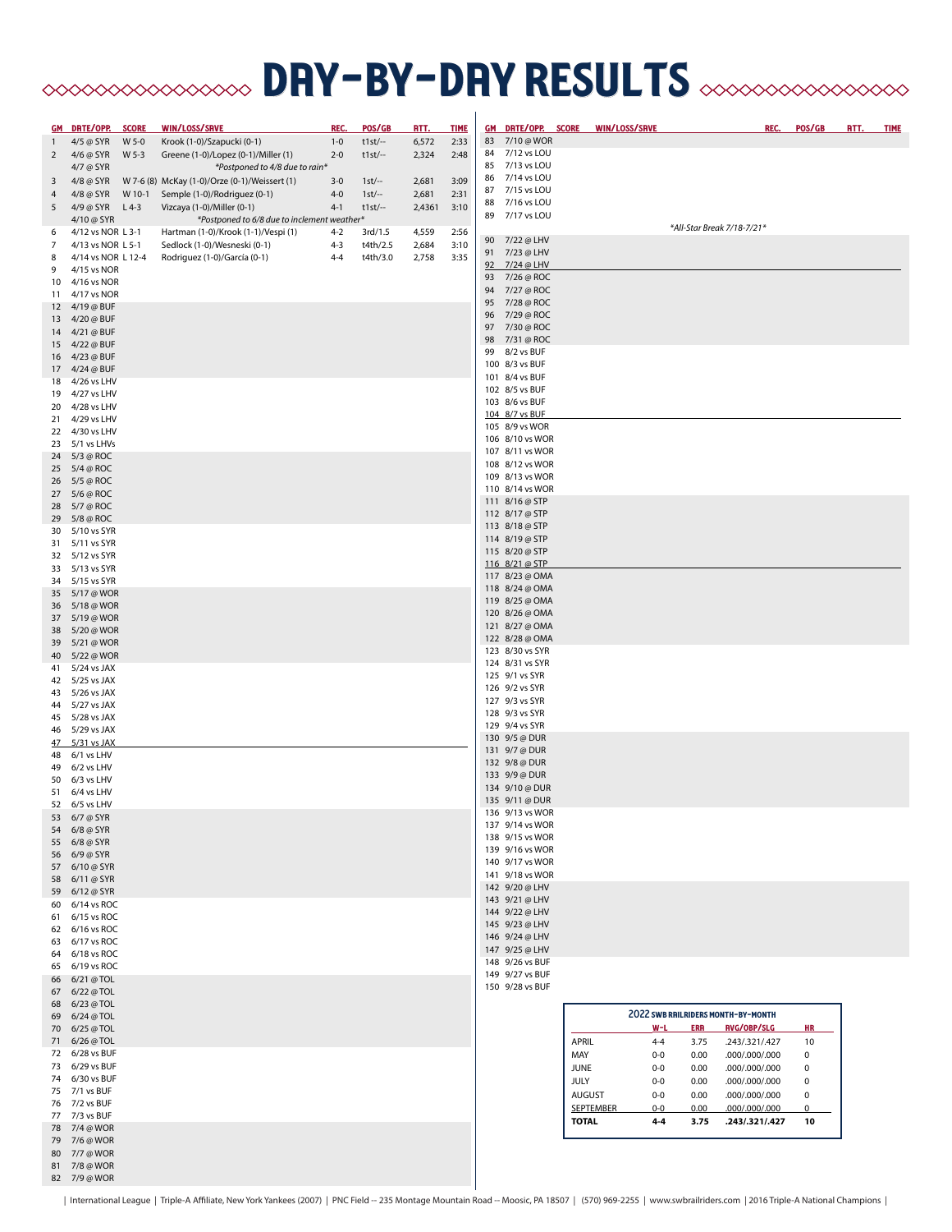# **BRY-DRY RESULTS** SUPPOSSESSES

|                | GM DRTE/OPP.                    | <b>SCORE</b> | WIN/LOSS/SRVE                                 | REC.    | POS/GB    | <u>RTT.</u> | <b>TIME</b> |    | GM DRTE/OPP. SCORE                 |               | WIN/LOSS/SRVE             |                                           | REC.           | POS/GB         | <u>RTT.</u> | <b>TIME</b> |
|----------------|---------------------------------|--------------|-----------------------------------------------|---------|-----------|-------------|-------------|----|------------------------------------|---------------|---------------------------|-------------------------------------------|----------------|----------------|-------------|-------------|
| $\mathbf{1}$   | 4/5 @ SYR                       | W 5-0        | Krook (1-0)/Szapucki (0-1)                    | $1 - 0$ | $t1st$ -- | 6,572       | 2:33        |    | 83 7/10 @ WOR                      |               |                           |                                           |                |                |             |             |
| 2              | 4/6 @ SYR                       | W 5-3        | Greene (1-0)/Lopez (0-1)/Miller (1)           | $2 - 0$ | $t1st$ -- | 2,324       | 2:48        |    | 84 7/12 vs LOU                     |               |                           |                                           |                |                |             |             |
|                | 4/7 @ SYR                       |              | *Postponed to 4/8 due to rain*                |         |           |             |             | 85 | 7/13 vs LOU                        |               |                           |                                           |                |                |             |             |
| 3              | 4/8 @ SYR                       |              | W 7-6 (8) McKay (1-0)/Orze (0-1)/Weissert (1) | $3 - 0$ | $1st$ -   | 2,681       | 3:09        |    | 86 7/14 vs LOU                     |               |                           |                                           |                |                |             |             |
| $\overline{4}$ | 4/8 @ SYR                       | W 10-1       | Semple (1-0)/Rodriguez (0-1)                  | $4 - 0$ | $1st$ --  | 2,681       | 2:31        |    | 87 7/15 vs LOU                     |               |                           |                                           |                |                |             |             |
| 5              | 4/9 @ SYR L 4-3                 |              | Vizcaya (1-0)/Miller (0-1)                    | $4 - 1$ | $t1st$ -- | 2,4361      | 3:10        |    | 88 7/16 vs LOU                     |               |                           |                                           |                |                |             |             |
|                | 4/10 @ SYR                      |              | *Postponed to 6/8 due to inclement weather*   |         |           |             |             |    | 89 7/17 vs LOU                     |               |                           |                                           |                |                |             |             |
| 6              | 4/12 vs NOR L 3-1               |              | Hartman (1-0)/Krook (1-1)/Vespi (1)           | $4 - 2$ | 3rd/1.5   | 4,559       | 2:56        |    |                                    |               |                           | *All-Star Break 7/18-7/21*                |                |                |             |             |
| $\overline{7}$ | 4/13 vs NOR L 5-1               |              | Sedlock (1-0)/Wesneski (0-1)                  | $4 - 3$ | t4th/2.5  | 2,684       | 3:10        |    | 90 7/22 @ LHV                      |               |                           |                                           |                |                |             |             |
| 8              | 4/14 vs NOR L 12-4              |              | Rodriguez (1-0)/García (0-1)                  | $4 - 4$ | t4th/3.0  | 2,758       | 3:35        |    | 91 7/23 @ LHV                      |               |                           |                                           |                |                |             |             |
| 9              | 4/15 vs NOR                     |              |                                               |         |           |             |             |    | 92 7/24 @ LHV                      |               |                           |                                           |                |                |             |             |
|                | 10 4/16 vs NOR                  |              |                                               |         |           |             |             |    | 93 7/26 @ ROC                      |               |                           |                                           |                |                |             |             |
|                | 11 4/17 vs NOR                  |              |                                               |         |           |             |             |    | 94 7/27 @ ROC                      |               |                           |                                           |                |                |             |             |
|                | 12 4/19 @ BUF                   |              |                                               |         |           |             |             | 95 | 7/28 @ ROC                         |               |                           |                                           |                |                |             |             |
|                | 13 4/20 @ BUF                   |              |                                               |         |           |             |             | 96 | 7/29 @ ROC                         |               |                           |                                           |                |                |             |             |
|                | 14 4/21 @ BUF                   |              |                                               |         |           |             |             |    | 97 7/30 @ ROC                      |               |                           |                                           |                |                |             |             |
|                | 15 4/22 @ BUF                   |              |                                               |         |           |             |             |    | 98 7/31 @ ROC<br>99 8/2 vs BUF     |               |                           |                                           |                |                |             |             |
|                | 16 4/23 @ BUF                   |              |                                               |         |           |             |             |    | 100 8/3 vs BUF                     |               |                           |                                           |                |                |             |             |
|                | 17 4/24 @ BUF                   |              |                                               |         |           |             |             |    | 101 8/4 vs BUF                     |               |                           |                                           |                |                |             |             |
|                | 18 4/26 vs LHV                  |              |                                               |         |           |             |             |    | 102 8/5 vs BUF                     |               |                           |                                           |                |                |             |             |
|                | 19 4/27 vs LHV                  |              |                                               |         |           |             |             |    | 103 8/6 vs BUF                     |               |                           |                                           |                |                |             |             |
|                | 20 4/28 vs LHV                  |              |                                               |         |           |             |             |    | 104 8/7 vs BUF                     |               |                           |                                           |                |                |             |             |
|                | 21 4/29 vs LHV                  |              |                                               |         |           |             |             |    | 105 8/9 vs WOR                     |               |                           |                                           |                |                |             |             |
|                | 22 4/30 vs LHV                  |              |                                               |         |           |             |             |    | 106 8/10 vs WOR                    |               |                           |                                           |                |                |             |             |
|                | 23 5/1 vs LHVs                  |              |                                               |         |           |             |             |    | 107 8/11 vs WOR                    |               |                           |                                           |                |                |             |             |
|                | 24 5/3 @ ROC                    |              |                                               |         |           |             |             |    | 108 8/12 vs WOR                    |               |                           |                                           |                |                |             |             |
|                | 25 5/4 @ ROC                    |              |                                               |         |           |             |             |    | 109 8/13 vs WOR                    |               |                           |                                           |                |                |             |             |
|                | 26 5/5 @ ROC                    |              |                                               |         |           |             |             |    | 110 8/14 vs WOR                    |               |                           |                                           |                |                |             |             |
|                | 27 5/6 @ ROC                    |              |                                               |         |           |             |             |    | 111 8/16 @ STP                     |               |                           |                                           |                |                |             |             |
|                | 28 5/7 @ ROC                    |              |                                               |         |           |             |             |    | 112 8/17 @ STP                     |               |                           |                                           |                |                |             |             |
|                | 29 5/8 @ ROC                    |              |                                               |         |           |             |             |    | 113 8/18 @ STP                     |               |                           |                                           |                |                |             |             |
|                | 30 5/10 vs SYR                  |              |                                               |         |           |             |             |    | 114 8/19 @ STP                     |               |                           |                                           |                |                |             |             |
|                | 31 5/11 vs SYR                  |              |                                               |         |           |             |             |    | 115 8/20 @ STP                     |               |                           |                                           |                |                |             |             |
|                | 32 5/12 vs SYR                  |              |                                               |         |           |             |             |    | 116 8/21 @ STP                     |               |                           |                                           |                |                |             |             |
|                | 33 5/13 vs SYR                  |              |                                               |         |           |             |             |    | 117 8/23 @ OMA                     |               |                           |                                           |                |                |             |             |
|                | 34 5/15 vs SYR                  |              |                                               |         |           |             |             |    | 118 8/24 @ OMA                     |               |                           |                                           |                |                |             |             |
|                | 35 5/17 @ WOR                   |              |                                               |         |           |             |             |    | 119 8/25 @ OMA                     |               |                           |                                           |                |                |             |             |
|                | 36 5/18 @ WOR<br>37 5/19 @ WOR  |              |                                               |         |           |             |             |    | 120 8/26 @ OMA                     |               |                           |                                           |                |                |             |             |
|                | 38 5/20 @ WOR                   |              |                                               |         |           |             |             |    | 121 8/27 @ OMA                     |               |                           |                                           |                |                |             |             |
|                | 39 5/21 @ WOR                   |              |                                               |         |           |             |             |    | 122 8/28 @ OMA                     |               |                           |                                           |                |                |             |             |
|                | 40 5/22 @ WOR                   |              |                                               |         |           |             |             |    | 123 8/30 vs SYR                    |               |                           |                                           |                |                |             |             |
|                | 41 5/24 vs JAX                  |              |                                               |         |           |             |             |    | 124 8/31 vs SYR                    |               |                           |                                           |                |                |             |             |
|                | 42 5/25 vs JAX                  |              |                                               |         |           |             |             |    | 125 9/1 vs SYR                     |               |                           |                                           |                |                |             |             |
|                | 43 5/26 vs JAX                  |              |                                               |         |           |             |             |    | 126 9/2 vs SYR                     |               |                           |                                           |                |                |             |             |
|                | 44 5/27 vs JAX                  |              |                                               |         |           |             |             |    | 127 9/3 vs SYR                     |               |                           |                                           |                |                |             |             |
|                | 45 5/28 vs JAX                  |              |                                               |         |           |             |             |    | 128 9/3 vs SYR                     |               |                           |                                           |                |                |             |             |
|                | 46 5/29 vs JAX                  |              |                                               |         |           |             |             |    | 129 9/4 vs SYR                     |               |                           |                                           |                |                |             |             |
| $\frac{47}{ }$ | 5/31 vs JAX                     |              |                                               |         |           |             |             |    | 130 9/5 @ DUR                      |               |                           |                                           |                |                |             |             |
|                | 48 6/1 vs LHV                   |              |                                               |         |           |             |             |    | 131 9/7 @ DUR                      |               |                           |                                           |                |                |             |             |
|                | 49 6/2 vs LHV                   |              |                                               |         |           |             |             |    | 132 9/8 @ DUR                      |               |                           |                                           |                |                |             |             |
|                | 50 6/3 vs LHV                   |              |                                               |         |           |             |             |    | 133 9/9 @ DUR                      |               |                           |                                           |                |                |             |             |
|                | 51 6/4 vs LHV                   |              |                                               |         |           |             |             |    | 134 9/10 @ DUR                     |               |                           |                                           |                |                |             |             |
|                | 52 6/5 vs LHV                   |              |                                               |         |           |             |             |    | 135 9/11 @ DUR                     |               |                           |                                           |                |                |             |             |
|                | 53 6/7 @ SYR                    |              |                                               |         |           |             |             |    | 136 9/13 vs WOR                    |               |                           |                                           |                |                |             |             |
|                | 54 6/8 @ SYR                    |              |                                               |         |           |             |             |    | 137 9/14 vs WOR                    |               |                           |                                           |                |                |             |             |
|                | 55 6/8 @ SYR                    |              |                                               |         |           |             |             |    | 138 9/15 vs WOR                    |               |                           |                                           |                |                |             |             |
|                | 56 6/9 @ SYR                    |              |                                               |         |           |             |             |    | 139 9/16 vs WOR                    |               |                           |                                           |                |                |             |             |
|                | 57 6/10 @ SYR                   |              |                                               |         |           |             |             |    | 140 9/17 vs WOR<br>141 9/18 vs WOR |               |                           |                                           |                |                |             |             |
|                | 58 6/11 @ SYR                   |              |                                               |         |           |             |             |    | 142 9/20 @ LHV                     |               |                           |                                           |                |                |             |             |
|                | 59 6/12 @ SYR                   |              |                                               |         |           |             |             |    | 143 9/21 @ LHV                     |               |                           |                                           |                |                |             |             |
|                | 60 6/14 vs ROC                  |              |                                               |         |           |             |             |    | 144 9/22 @ LHV                     |               |                           |                                           |                |                |             |             |
|                | 61 6/15 vs ROC                  |              |                                               |         |           |             |             |    | 145 9/23 @ LHV                     |               |                           |                                           |                |                |             |             |
|                | 62 6/16 vs ROC                  |              |                                               |         |           |             |             |    | 146 9/24 @ LHV                     |               |                           |                                           |                |                |             |             |
|                | 63 6/17 vs ROC                  |              |                                               |         |           |             |             |    | 147 9/25 @ LHV                     |               |                           |                                           |                |                |             |             |
|                | 64 6/18 vs ROC                  |              |                                               |         |           |             |             |    | 148 9/26 vs BUF                    |               |                           |                                           |                |                |             |             |
|                | 65 6/19 vs ROC                  |              |                                               |         |           |             |             |    | 149 9/27 vs BUF                    |               |                           |                                           |                |                |             |             |
|                | 66 6/21 @ TOL                   |              |                                               |         |           |             |             |    | 150 9/28 vs BUF                    |               |                           |                                           |                |                |             |             |
|                | 67 6/22 @ TOL                   |              |                                               |         |           |             |             |    |                                    |               |                           |                                           |                |                |             |             |
|                | 68 6/23 @ TOL                   |              |                                               |         |           |             |             |    |                                    |               |                           | <b>2022 SWB RAILRIDERS MONTH-BY-MONTH</b> |                |                |             |             |
|                | 69 6/24 @ TOL                   |              |                                               |         |           |             |             |    |                                    |               |                           |                                           |                |                |             |             |
|                | 70 6/25 @ TOL                   |              |                                               |         |           |             |             |    |                                    |               | $W-L$                     | RVG/OBP/SLG<br><b>ERR</b>                 |                | HR             |             |             |
|                | 71 6/26 @ TOL<br>72 6/28 vs BUF |              |                                               |         |           |             |             |    |                                    | <b>APRIL</b>  | $4 - 4$                   | 3.75<br>.243/.321/.427                    |                | 10             |             |             |
|                | 73 6/29 vs BUF                  |              |                                               |         |           |             |             |    |                                    | MAY           | $0-0$                     | 0.00<br>000/000/000.                      |                | $\mathbf 0$    |             |             |
|                | 74 6/30 vs BUF                  |              |                                               |         |           |             |             |    |                                    | <b>JUNE</b>   | $0-0$                     | 0.00<br>.000/.000/.000                    |                | $\mathbf 0$    |             |             |
|                | 75 7/1 vs BUF                   |              |                                               |         |           |             |             |    |                                    | JULY          | $0 - 0$                   | 0.00<br>000/000/000.                      |                | $\mathsf 0$    |             |             |
|                | 76 7/2 vs BUF                   |              |                                               |         |           |             |             |    |                                    | <b>AUGUST</b> | $0-0$                     | 0.00<br>000/000/000.                      |                | $\mathsf 0$    |             |             |
|                | 77 7/3 vs BUF                   |              |                                               |         |           |             |             |    |                                    |               | <b>SEPTEMBER</b><br>$0-0$ | 0.00                                      | 000/000/000.   | $\overline{0}$ |             |             |
|                | 78 7/4 @ WOR                    |              |                                               |         |           |             |             |    |                                    | <b>TOTAL</b>  | 44                        | 3.75                                      | .243/.321/.427 | 10             |             |             |
|                | 79 7/6 @ WOR                    |              |                                               |         |           |             |             |    |                                    |               |                           |                                           |                |                |             |             |
|                | 80 7/7 @ WOR                    |              |                                               |         |           |             |             |    |                                    |               |                           |                                           |                |                |             |             |
|                | 81 7/8 @ WOR                    |              |                                               |         |           |             |             |    |                                    |               |                           |                                           |                |                |             |             |
|                | 82 7/9 @ WOR                    |              |                                               |         |           |             |             |    |                                    |               |                           |                                           |                |                |             |             |

| International League | Triple-A Affiliate, New York Yankees (2007) | PNC Field -- 235 Montage Mountain Road -- Moosic, PA 18507 | (570) 969-2255 | www.swbrailriders.com | 2016 Triple-A National Champions |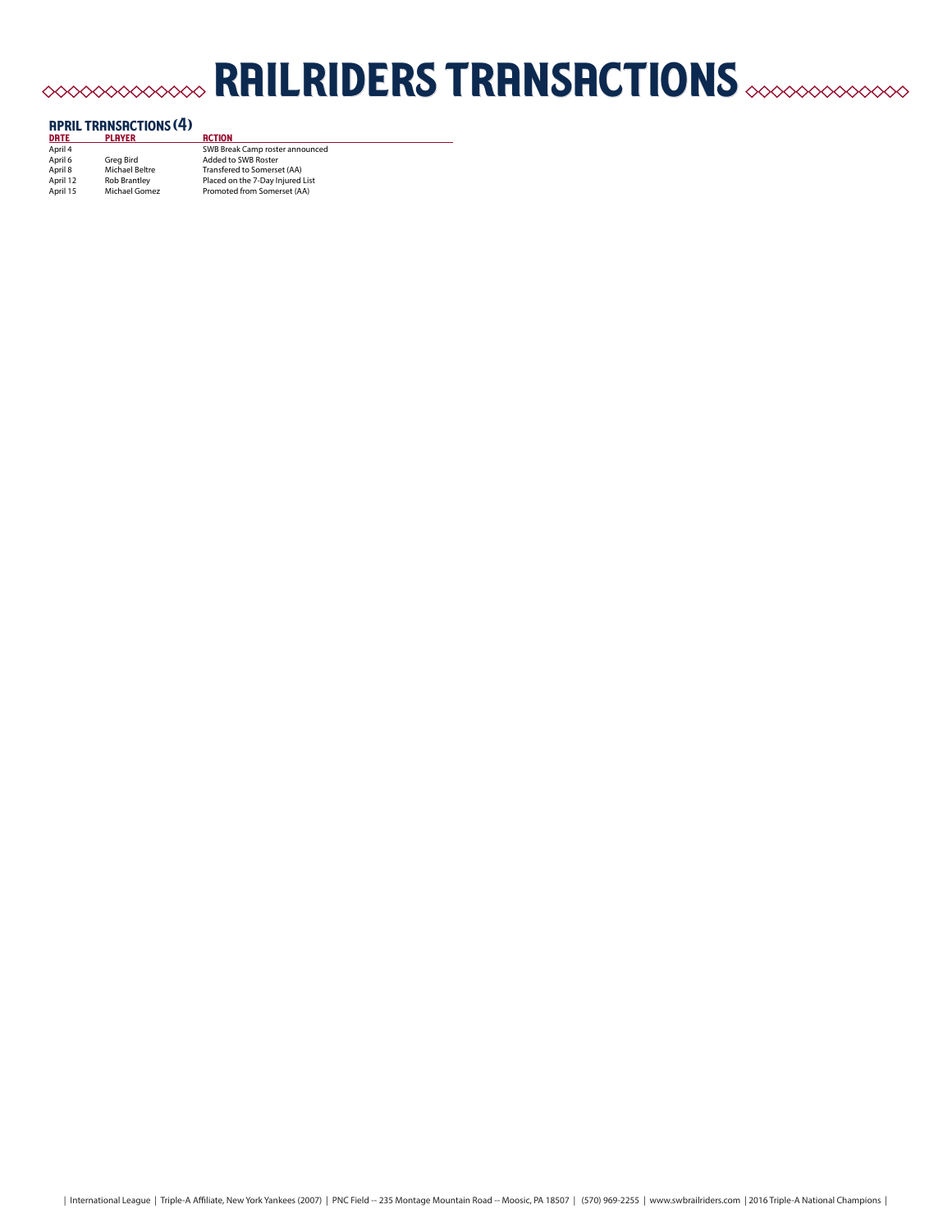# railriders transactions

| <b>APRIL TRANSACTIONS (4)</b> |                     |                                  |  |  |  |
|-------------------------------|---------------------|----------------------------------|--|--|--|
| <b>DRTE</b>                   | <b>PLAYER</b>       | <b>RCTION</b>                    |  |  |  |
| April 4                       |                     | SWB Break Camp roster announced  |  |  |  |
| April 6                       | Grea Bird           | Added to SWB Roster              |  |  |  |
| April 8                       | Michael Beltre      | Transfered to Somerset (AA)      |  |  |  |
| April 12                      | <b>Rob Brantley</b> | Placed on the 7-Day Injured List |  |  |  |
| April 15                      | Michael Gomez       | Promoted from Somerset (AA)      |  |  |  |